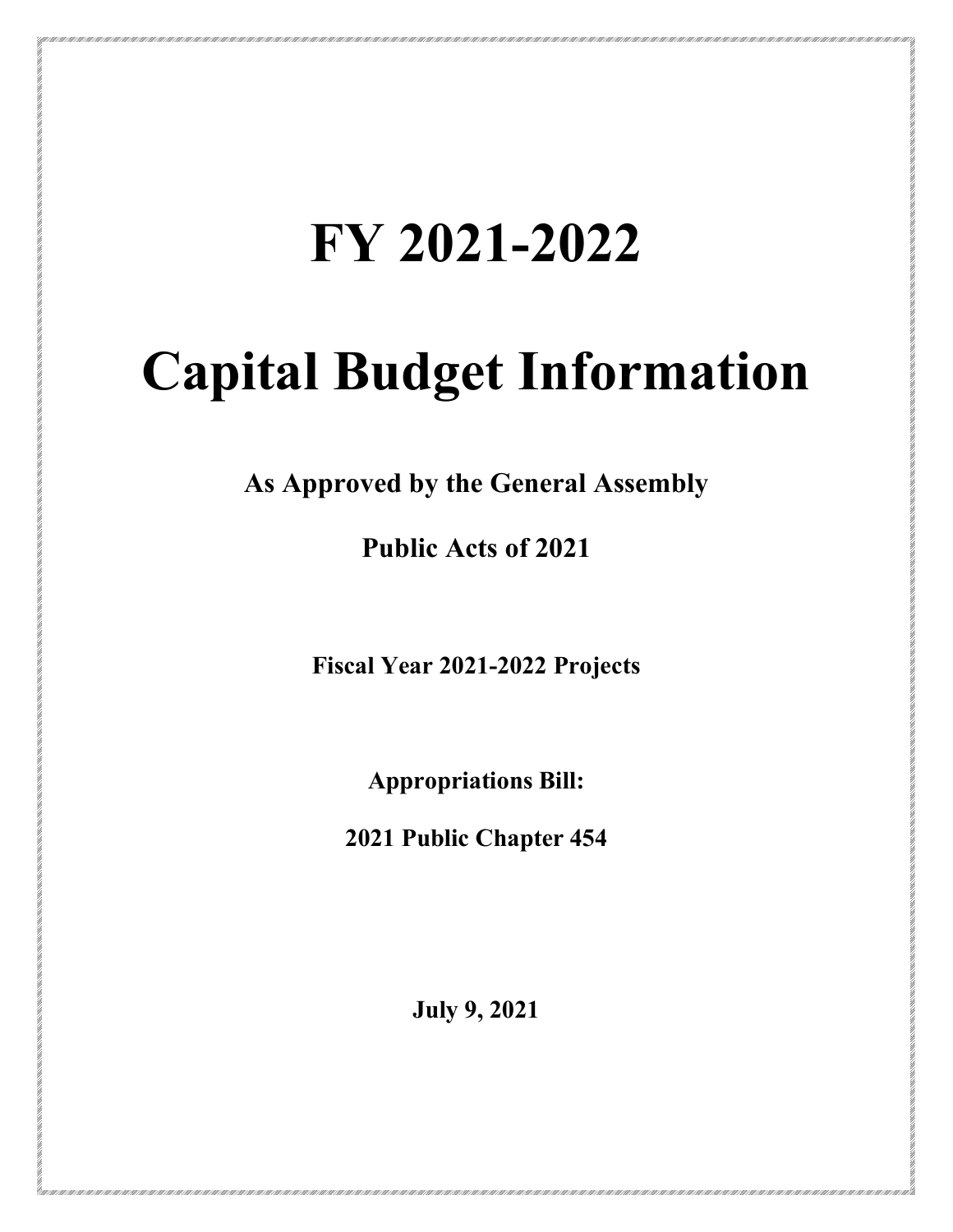## **FY 2021-2022**

# **Capital Budget Information**

**As Approved by the General Assembly**

**Public Acts of 2021**

**Fiscal Year 2021-2022 Projects**

**Appropriations Bill:**

**2021 Public Chapter 454**

**July 9, 2021**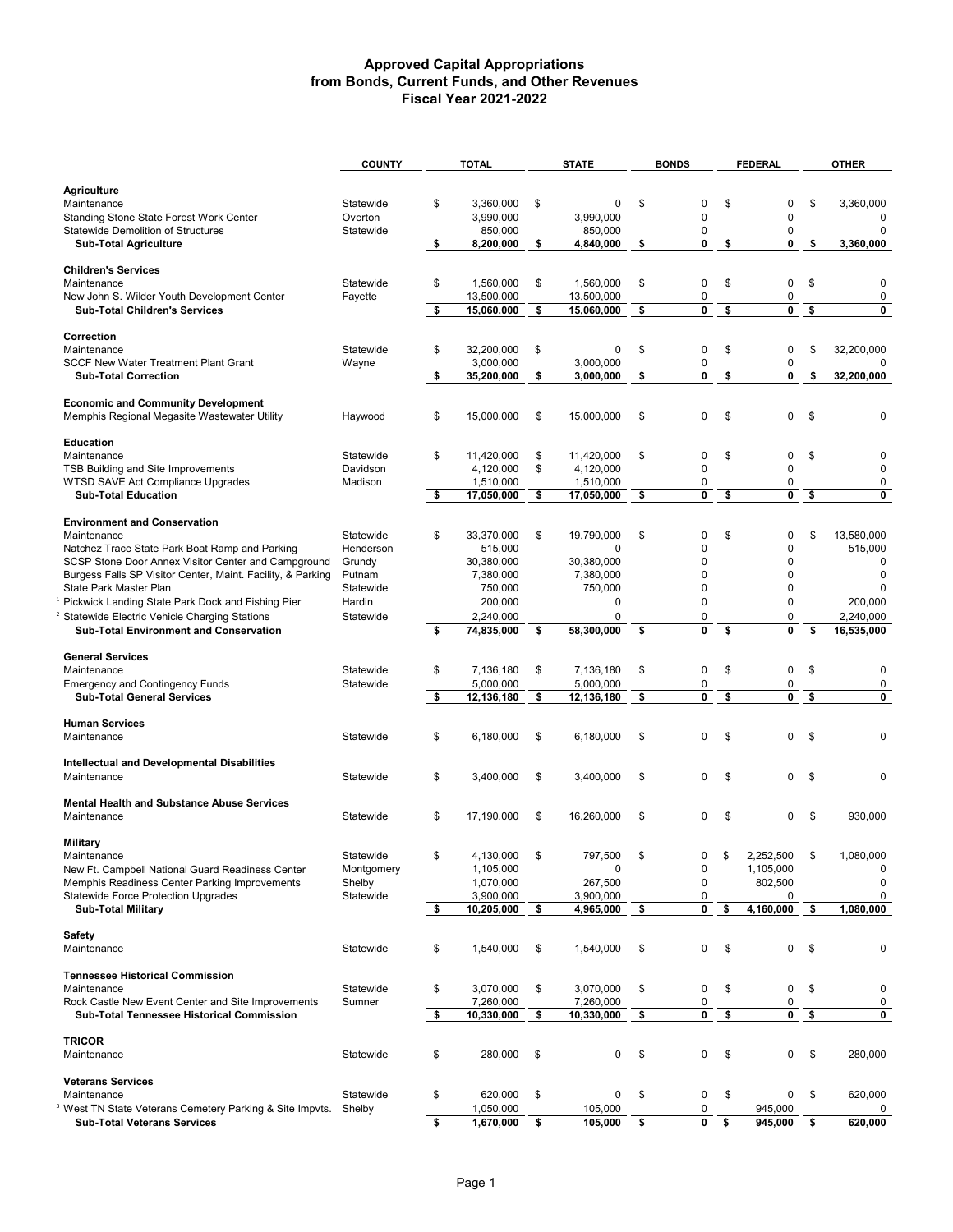|                                                                            | <b>COUNTY</b> | <b>TOTAL</b>                 | <b>STATE</b>       | <b>BONDS</b>      | <b>FEDERAL</b>         |    | <b>OTHER</b>   |
|----------------------------------------------------------------------------|---------------|------------------------------|--------------------|-------------------|------------------------|----|----------------|
|                                                                            |               |                              |                    |                   |                        |    |                |
| <b>Agriculture</b>                                                         |               |                              |                    |                   |                        |    |                |
| Maintenance                                                                | Statewide     | \$<br>3.360.000              | \$<br>0            | \$<br>0           | \$<br>0                | \$ | 3,360,000      |
| <b>Standing Stone State Forest Work Center</b>                             | Overton       | 3,990,000                    | 3,990,000          | 0                 | $\mathbf 0$            |    | 0              |
| <b>Statewide Demolition of Structures</b>                                  | Statewide     | 850,000                      | 850,000            | 0                 | 0                      |    | 0              |
| <b>Sub-Total Agriculture</b>                                               |               | \$<br>8,200,000              | \$<br>4,840,000    | \$<br>0           | \$<br>0                | \$ | 3.360.000      |
|                                                                            |               |                              |                    |                   |                        |    |                |
| <b>Children's Services</b>                                                 |               |                              |                    |                   |                        |    |                |
| Maintenance                                                                | Statewide     | \$<br>1,560,000              | \$<br>1,560,000    | \$<br>0           | \$<br>$\mathbf 0$      | \$ | 0              |
| New John S. Wilder Youth Development Center                                | Fayette       | 13,500,000                   | 13,500,000         | 0                 | 0                      |    | $\mathbf 0$    |
| <b>Sub-Total Children's Services</b>                                       |               | \$<br>15,060,000             | \$<br>15,060,000   | \$<br>0           | \$<br>0                | \$ | 0              |
|                                                                            |               |                              |                    |                   |                        |    |                |
| Correction                                                                 |               |                              |                    |                   |                        |    |                |
| Maintenance                                                                | Statewide     | \$<br>32,200,000             | \$<br>$\mathbf 0$  | \$<br>0           | \$<br>0                | \$ | 32,200,000     |
| <b>SCCF New Water Treatment Plant Grant</b>                                | Wayne         | 3,000,000                    | 3,000,000          | 0                 | 0                      |    | 0              |
| <b>Sub-Total Correction</b>                                                |               | \$<br>35,200,000             | \$<br>3,000,000    | \$<br>0           | \$<br>$\mathbf 0$      | \$ | 32,200,000     |
|                                                                            |               |                              |                    |                   |                        |    |                |
| <b>Economic and Community Development</b>                                  |               |                              |                    |                   |                        |    |                |
| Memphis Regional Megasite Wastewater Utility                               | Haywood       | \$<br>15,000,000             | \$<br>15,000,000   | \$<br>0           | \$<br>0                | \$ | 0              |
|                                                                            |               |                              |                    |                   |                        |    |                |
| Education                                                                  |               |                              |                    |                   |                        |    |                |
| Maintenance                                                                | Statewide     | \$<br>11,420,000             | \$<br>11,420,000   | \$<br>0           | \$<br>0                | \$ | 0              |
| TSB Building and Site Improvements                                         | Davidson      | 4.120.000                    | \$<br>4,120,000    | $\Omega$          | $\mathbf 0$            |    | 0              |
| WTSD SAVE Act Compliance Upgrades                                          | Madison       | 1,510,000                    | 1,510,000          | 0                 | 0                      |    | 0              |
| <b>Sub-Total Education</b>                                                 |               | \$<br>17,050,000             | \$<br>17,050,000   | \$<br>0           | \$<br>0                | \$ | 0              |
|                                                                            |               |                              |                    |                   |                        |    |                |
| <b>Environment and Conservation</b>                                        |               |                              |                    |                   |                        |    |                |
| Maintenance                                                                | Statewide     | \$<br>33,370,000             | \$<br>19,790,000   | \$<br>0           | \$<br>0                | \$ | 13,580,000     |
| Natchez Trace State Park Boat Ramp and Parking                             | Henderson     | 515,000                      | 0                  | 0                 | 0                      |    | 515,000        |
| SCSP Stone Door Annex Visitor Center and Campground                        | Grundy        | 30,380,000                   | 30,380,000         | 0                 | 0                      |    | 0              |
| Burgess Falls SP Visitor Center, Maint. Facility, & Parking                | Putnam        | 7,380,000                    | 7,380,000          | $\Omega$          | $\mathbf 0$            |    | $\mathbf 0$    |
| State Park Master Plan                                                     | Statewide     | 750,000                      | 750,000            | 0                 | $\mathbf 0$            |    | 0              |
| Pickwick Landing State Park Dock and Fishing Pier                          | Hardin        | 200,000                      | 0                  | 0                 | 0                      |    | 200,000        |
| Statewide Electric Vehicle Charging Stations                               | Statewide     | 2,240,000                    | $\Omega$           | 0                 | 0                      |    | 2,240,000      |
| <b>Sub-Total Environment and Conservation</b>                              |               | \$<br>74,835,000             | \$<br>58,300,000   | \$<br>0           | \$<br>$\mathbf{0}$     | \$ | 16,535,000     |
|                                                                            |               |                              |                    |                   |                        |    |                |
| <b>General Services</b>                                                    |               |                              |                    |                   |                        |    |                |
| Maintenance                                                                | Statewide     | \$<br>7,136,180              | \$<br>7,136,180    | \$<br>0           | \$<br>$\pmb{0}$        | \$ | 0              |
| <b>Emergency and Contingency Funds</b>                                     | Statewide     | 5,000,000                    | 5,000,000          | 0                 | 0                      |    | $\pmb{0}$      |
| <b>Sub-Total General Services</b>                                          |               | \$<br>12,136,180             | \$<br>12,136,180   | \$<br>0           | \$<br>0                | \$ | 0              |
|                                                                            |               |                              |                    |                   |                        |    |                |
| <b>Human Services</b>                                                      |               |                              |                    |                   |                        |    |                |
| Maintenance                                                                | Statewide     | \$<br>6,180,000              | \$<br>6,180,000    | \$<br>0           | \$<br>0                | \$ | 0              |
|                                                                            |               |                              |                    |                   |                        |    |                |
| <b>Intellectual and Developmental Disabilities</b>                         |               |                              |                    |                   |                        |    |                |
| Maintenance                                                                | Statewide     | \$<br>3,400,000              | \$<br>3.400.000    | \$<br>$\mathsf 0$ | \$<br>$\Omega$         | \$ | 0              |
| <b>Mental Health and Substance Abuse Services</b>                          |               |                              |                    |                   |                        |    |                |
| Maintenance                                                                |               | \$                           |                    | \$<br>0           | \$<br>$\Omega$         | \$ | 930,000        |
|                                                                            | Statewide     | 17,190,000                   | \$<br>16,260,000   |                   |                        |    |                |
| <b>Military</b>                                                            |               |                              |                    |                   |                        |    |                |
|                                                                            | Statewide     |                              |                    |                   | \$                     |    |                |
| Maintenance<br>New Ft. Campbell National Guard Readiness Center            | Montgomery    | \$<br>4,130,000<br>1,105,000 | \$<br>797,500<br>0 | U<br>0            | 2,252,500<br>1,105,000 | P. | 1,080,000<br>0 |
| Memphis Readiness Center Parking Improvements                              | Shelby        | 1,070,000                    | 267,500            | 0                 | 802,500                |    | 0              |
| <b>Statewide Force Protection Upgrades</b>                                 | Statewide     | 3,900,000                    | 3,900,000          | 0                 | 0                      |    | 0              |
| <b>Sub-Total Military</b>                                                  |               | \$<br>10,205,000             | \$<br>4,965,000    | \$<br>0           | \$<br>4,160,000        | \$ | 1,080,000      |
|                                                                            |               |                              |                    |                   |                        |    |                |
| <b>Safety</b>                                                              |               |                              |                    |                   |                        |    |                |
| Maintenance                                                                | Statewide     | \$<br>1,540,000              | \$<br>1,540,000    | \$<br>0           | \$<br>0                | \$ | 0              |
|                                                                            |               |                              |                    |                   |                        |    |                |
| <b>Tennessee Historical Commission</b>                                     |               |                              |                    |                   |                        |    |                |
| Maintenance                                                                | Statewide     | \$<br>3,070,000              | \$<br>3,070,000    | \$<br>0           | \$<br>0                | \$ | 0              |
| Rock Castle New Event Center and Site Improvements                         | Sumner        | 7,260,000                    | 7,260,000          | 0                 | 0                      |    | 0              |
| <b>Sub-Total Tennessee Historical Commission</b>                           |               | \$<br>10,330,000             | \$<br>10,330,000   | \$<br>0           | \$<br>0                | \$ | 0              |
|                                                                            |               |                              |                    |                   |                        |    |                |
| <b>TRICOR</b>                                                              |               |                              |                    |                   |                        |    |                |
| Maintenance                                                                | Statewide     | \$<br>280,000                | \$<br>0            | \$<br>0           | \$<br>0                | \$ | 280,000        |
|                                                                            |               |                              |                    |                   |                        |    |                |
| <b>Veterans Services</b>                                                   |               |                              |                    |                   |                        |    |                |
| Maintenance                                                                | Statewide     | \$<br>620,000                | \$<br>0            | \$<br>0           | \$<br>0                | \$ | 620,000        |
| <sup>3</sup> West TN State Veterans Cemetery Parking & Site Impvts. Shelby |               | 1,050,000                    | 105,000            | 0                 | 945,000                |    |                |
| <b>Sub-Total Veterans Services</b>                                         |               | \$<br>1,670,000              | \$<br>105,000      | \$<br>0           | \$<br>945,000          | \$ | 620,000        |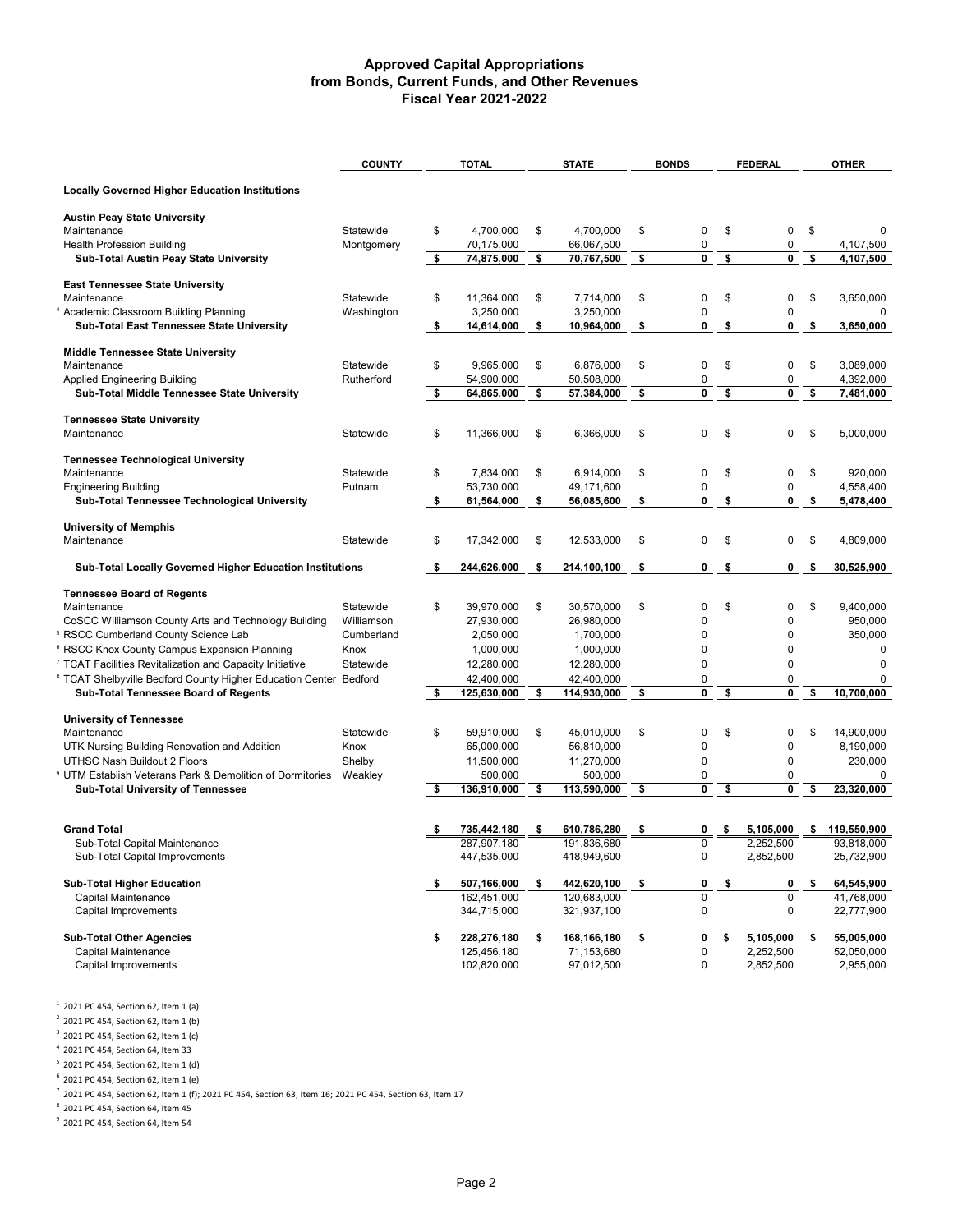|                                                                                    | <b>COUNTY</b> | <b>TOTAL</b>                     | <b>STATE</b>                    | <b>BONDS</b>   | <b>FEDERAL</b>    |     | <b>OTHER</b>    |
|------------------------------------------------------------------------------------|---------------|----------------------------------|---------------------------------|----------------|-------------------|-----|-----------------|
| <b>Locally Governed Higher Education Institutions</b>                              |               |                                  |                                 |                |                   |     |                 |
| <b>Austin Peay State University</b>                                                |               |                                  |                                 |                |                   |     |                 |
| Maintenance                                                                        | Statewide     | \$<br>4,700,000                  | \$<br>4,700,000                 | \$<br>0        | \$<br>0           | \$  | $\Omega$        |
| <b>Health Profession Building</b>                                                  | Montgomery    | 70,175,000                       | 66,067,500                      | 0              | 0                 |     | 4,107,500       |
| Sub-Total Austin Peay State University                                             |               | \$<br>74,875,000                 | \$<br>70,767,500                | \$<br>0        | \$<br>0           | \$  | 4,107,500       |
| <b>East Tennessee State University</b>                                             |               |                                  |                                 |                |                   |     |                 |
| Maintenance                                                                        | Statewide     | \$<br>11,364,000                 | \$<br>7,714,000                 | \$<br>0        | \$<br>0           | \$  | 3,650,000       |
| Academic Classroom Building Planning<br>4                                          | Washington    | 3,250,000                        | 3,250,000                       | 0              | 0                 |     | 0               |
| Sub-Total East Tennessee State University                                          |               | \$<br>14,614,000                 | \$<br>10,964,000                | \$<br>0        | \$<br>0           | \$  | 3,650,000       |
|                                                                                    |               |                                  |                                 |                |                   |     |                 |
| <b>Middle Tennessee State University</b>                                           | Statewide     | \$<br>9.965.000                  | \$<br>6,876,000                 | \$<br>0        | 0                 | \$  | 3,089,000       |
| Maintenance                                                                        | Rutherford    | 54,900,000                       | 50,508,000                      | 0              | \$<br>0           |     | 4,392,000       |
| <b>Applied Engineering Building</b><br>Sub-Total Middle Tennessee State University |               | \$<br>64,865,000                 | \$<br>57,384,000                | \$<br>0        | \$<br>0           | \$  | 7,481,000       |
|                                                                                    |               |                                  |                                 |                |                   |     |                 |
| <b>Tennessee State University</b>                                                  |               |                                  |                                 |                |                   |     |                 |
| Maintenance                                                                        | Statewide     | \$<br>11,366,000                 | \$<br>6,366,000                 | \$<br>0        | \$<br>0           | \$  | 5,000,000       |
|                                                                                    |               |                                  |                                 |                |                   |     |                 |
| <b>Tennessee Technological University</b><br>Maintenance                           | Statewide     | \$<br>7,834,000                  | \$<br>6,914,000                 | \$<br>0        | \$<br>0           | \$  | 920,000         |
| <b>Engineering Building</b>                                                        | Putnam        | 53,730,000                       | 49,171,600                      | 0              | 0                 |     | 4,558,400       |
| Sub-Total Tennessee Technological University                                       |               | \$<br>61,564,000                 | \$<br>56,085,600                | \$<br>0        | \$<br>0           | \$  | 5.478.400       |
|                                                                                    |               |                                  |                                 |                |                   |     |                 |
| <b>University of Memphis</b>                                                       |               |                                  |                                 |                |                   |     |                 |
| Maintenance                                                                        | Statewide     | \$<br>17,342,000                 | \$<br>12,533,000                | \$<br>0        | \$<br>0           | \$  | 4,809,000       |
| <b>Sub-Total Locally Governed Higher Education Institutions</b>                    |               | \$<br>244,626,000                | \$<br>214,100,100               | \$<br>0        | \$<br>0           | \$  | 30,525,900      |
|                                                                                    |               |                                  |                                 |                |                   |     |                 |
| <b>Tennessee Board of Regents</b>                                                  |               |                                  |                                 |                |                   |     |                 |
| Maintenance                                                                        | Statewide     | \$<br>39,970,000                 | \$<br>30,570,000                | \$<br>0        | \$<br>0           | \$  | 9,400,000       |
| CoSCC Williamson County Arts and Technology Building                               | Williamson    | 27,930,000                       | 26,980,000                      | 0              | 0                 |     | 950,000         |
| <sup>5</sup> RSCC Cumberland County Science Lab                                    | Cumberland    | 2,050,000                        | 1,700,000                       | 0              | 0                 |     | 350,000         |
| <sup>6</sup> RSCC Knox County Campus Expansion Planning                            | Knox          | 1,000,000                        | 1,000,000                       | 0              | 0                 |     | $\mathbf 0$     |
| <sup>7</sup> TCAT Facilities Revitalization and Capacity Initiative                | Statewide     | 12,280,000                       | 12,280,000                      | 0              | 0                 |     | 0               |
| <sup>8</sup> TCAT Shelbyville Bedford County Higher Education Center Bedford       |               | \$<br>42,400,000<br>125,630,000  | \$<br>42,400,000<br>114,930,000 | \$<br>0<br>0   | \$<br>0<br>0      | \$  | 0<br>10,700,000 |
| Sub-Total Tennessee Board of Regents                                               |               |                                  |                                 |                |                   |     |                 |
| <b>University of Tennessee</b>                                                     |               |                                  |                                 |                |                   |     |                 |
| Maintenance                                                                        | Statewide     | \$<br>59,910,000                 | \$<br>45,010,000                | \$<br>0        | \$<br>0           | \$  | 14,900,000      |
| UTK Nursing Building Renovation and Addition                                       | Knox          | 65,000,000                       | 56,810,000                      | 0              | 0                 |     | 8,190,000       |
| UTHSC Nash Buildout 2 Floors                                                       | Shelby        | 11,500,000                       | 11,270,000                      | 0              | 0                 |     | 230,000         |
| 9<br>UTM Establish Veterans Park & Demolition of Dormitories                       | Weakley       | 500,000                          | 500,000                         | 0              | 0                 |     | 0               |
| <b>Sub-Total University of Tennessee</b>                                           |               | \$<br>136,910,000                | \$<br>113,590,000               | \$<br>0        | \$<br>0           | \$  | 23,320,000      |
|                                                                                    |               |                                  |                                 |                |                   |     |                 |
| <b>Grand Total</b>                                                                 |               | 735,442,180                      | \$<br>610,786,280               | \$<br>0        | 5,105,000         |     | 119,550,900     |
| Sub-Total Capital Maintenance                                                      |               | 287.907.180                      | 191.836.680                     |                | 2,252,500         |     | 93,818,000      |
| Sub-Total Capital Improvements                                                     |               | 447,535,000                      | 418,949,600                     | 0              | 2,852,500         |     | 25,732,900      |
| <b>Sub-Total Higher Education</b>                                                  |               |                                  | \$                              | \$<br>0        | 0                 | \$  | 64,545,900      |
| Capital Maintenance                                                                |               | \$<br>507,166,000<br>162,451,000 | 442,620,100<br>120,683,000      | $\overline{0}$ | \$<br>$\mathbf 0$ |     | 41,768,000      |
| Capital Improvements                                                               |               | 344,715,000                      | 321,937,100                     | $\pmb{0}$      | $\mathbf 0$       |     | 22,777,900      |
|                                                                                    |               |                                  |                                 |                |                   |     |                 |
| <b>Sub-Total Other Agencies</b>                                                    |               | \$<br>228,276,180                | \$<br>168,166,180               | \$<br>0        | \$<br>5,105,000   | \$. | 55,005,000      |
| Capital Maintenance                                                                |               | 125,456,180                      | 71,153,680                      | $\pmb{0}$      | 2,252,500         |     | 52,050,000      |
| Capital Improvements                                                               |               | 102,820,000                      | 97,012,500                      | 0              | 2,852,500         |     | 2,955,000       |
|                                                                                    |               |                                  |                                 |                |                   |     |                 |

 $1$  2021 PC 454, Section 62, Item 1 (a)

 $2$  2021 PC 454, Section 62, Item 1 (b)

<sup>3</sup> 2021 PC 454, Section 62, Item 1 (c)

<sup>4</sup> 2021 PC 454, Section 64, Item 33

<sup>5</sup> 2021 PC 454, Section 62, Item 1 (d)

 $6$  2021 PC 454, Section 62, Item 1 (e)

 $7$  2021 PC 454, Section 62, Item 1 (f); 2021 PC 454, Section 63, Item 16; 2021 PC 454, Section 63, Item 17

 $8$  2021 PC 454, Section 64, Item 45

 $9$  2021 PC 454, Section 64, Item 54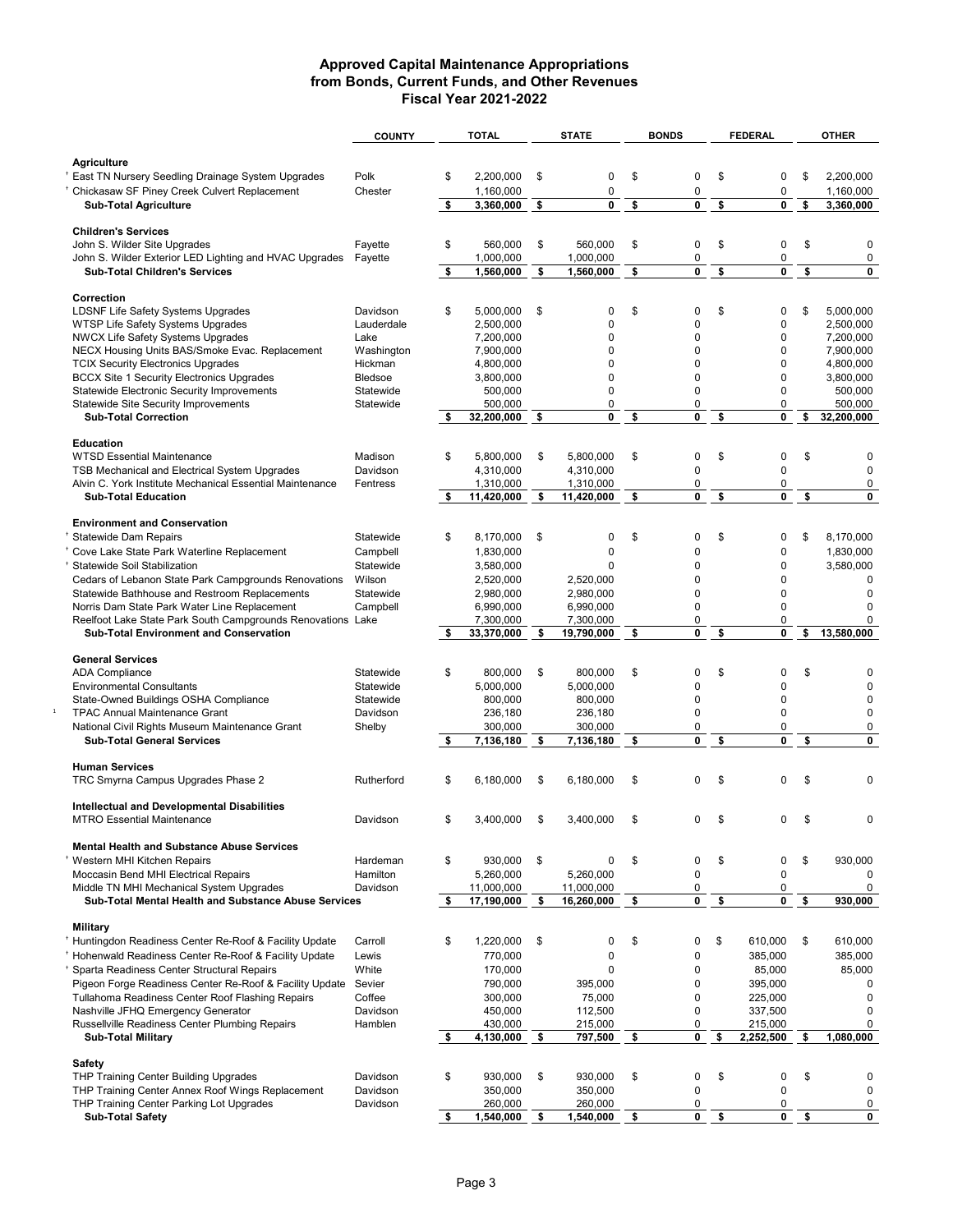|                                                                                             | <b>COUNTY</b>         | <b>TOTAL</b>           |                      | <b>STATE</b>       | <b>BONDS</b> |           | <b>FEDERAL</b>             | <b>OTHER</b>             |
|---------------------------------------------------------------------------------------------|-----------------------|------------------------|----------------------|--------------------|--------------|-----------|----------------------------|--------------------------|
|                                                                                             |                       |                        |                      |                    |              |           |                            |                          |
| <b>Agriculture</b>                                                                          |                       |                        |                      |                    |              |           |                            |                          |
| <sup>+</sup> East TN Nursery Seedling Drainage System Upgrades                              | Polk                  | \$<br>2.200.000        | \$                   | $\mathbf 0$        | \$           | 0         | \$<br>0                    | \$<br>2,200,000          |
| <sup>+</sup> Chickasaw SF Piney Creek Culvert Replacement                                   | Chester               | 1,160,000              |                      | 0<br>0             |              | 0<br>0    | $\pmb{0}$<br>$\mathbf 0$   | 1,160,000                |
| <b>Sub-Total Agriculture</b>                                                                |                       | \$<br>3,360,000        | $\overline{\bullet}$ |                    | \$           |           | \$                         | \$<br>3,360,000          |
| <b>Children's Services</b>                                                                  |                       |                        |                      |                    |              |           |                            |                          |
| John S. Wilder Site Upgrades                                                                | Fayette               | \$<br>560,000          | \$                   | 560,000            | \$           | 0         | \$<br>$\pmb{0}$            | \$<br>0                  |
| John S. Wilder Exterior LED Lighting and HVAC Upgrades                                      | Fayette               | 1,000,000              |                      | 1,000,000          |              | $\pmb{0}$ | $\pmb{0}$                  | $\pmb{0}$                |
| <b>Sub-Total Children's Services</b>                                                        |                       | \$<br>1,560,000        | \$                   | 1,560,000          | \$           | 0         | \$<br>$\mathbf 0$          | \$<br>0                  |
|                                                                                             |                       |                        |                      |                    |              |           |                            |                          |
| Correction                                                                                  |                       |                        |                      |                    |              |           |                            |                          |
| <b>LDSNF Life Safety Systems Upgrades</b>                                                   | Davidson              | \$<br>5,000,000        | \$                   | 0                  | \$           | 0         | \$<br>0                    | \$<br>5,000,000          |
| WTSP Life Safety Systems Upgrades                                                           | Lauderdale            | 2,500,000              |                      | 0                  |              | 0         | $\pmb{0}$                  | 2,500,000                |
| <b>NWCX Life Safety Systems Upgrades</b>                                                    | Lake                  | 7,200,000<br>7.900.000 |                      | 0                  |              | 0         | $\mathbf 0$<br>$\mathbf 0$ | 7,200,000<br>7.900.000   |
| NECX Housing Units BAS/Smoke Evac. Replacement<br><b>TCIX Security Electronics Upgrades</b> | Washington<br>Hickman | 4,800,000              |                      | 0<br>0             |              | 0<br>0    | $\pmb{0}$                  | 4,800,000                |
| <b>BCCX Site 1 Security Electronics Upgrades</b>                                            | Bledsoe               | 3,800,000              |                      | 0                  |              | 0         | $\mathbf 0$                | 3,800,000                |
| <b>Statewide Electronic Security Improvements</b>                                           | Statewide             | 500,000                |                      | 0                  |              | 0         | $\mathbf 0$                | 500,000                  |
| Statewide Site Security Improvements                                                        | Statewide             | 500,000                |                      | 0                  |              | 0         | 0                          | 500,000                  |
| <b>Sub-Total Correction</b>                                                                 |                       | 32,200,000             | \$                   | 0                  | \$           | 0         | \$<br>$\mathbf 0$          | \$<br>32,200,000         |
|                                                                                             |                       |                        |                      |                    |              |           |                            |                          |
| <b>Education</b>                                                                            |                       |                        |                      |                    |              |           |                            |                          |
| <b>WTSD Essential Maintenance</b>                                                           | Madison               | \$<br>5,800,000        | \$                   | 5,800,000          | \$           | 0         | \$<br>0                    | \$<br>0                  |
| TSB Mechanical and Electrical System Upgrades                                               | Davidson              | 4,310,000              |                      | 4.310.000          |              | 0         | $\mathbf 0$                | $\pmb{0}$                |
| Alvin C. York Institute Mechanical Essential Maintenance                                    | Fentress              | 1,310,000              |                      | 1,310,000          |              | 0         | 0                          | 0                        |
| <b>Sub-Total Education</b>                                                                  |                       | \$<br>11,420,000       | \$                   | 11,420,000         | \$           | 0         | \$<br>$\mathbf 0$          | \$<br>0                  |
| <b>Environment and Conservation</b>                                                         |                       |                        |                      |                    |              |           |                            |                          |
| <sup>+</sup> Statewide Dam Repairs                                                          | Statewide             | \$<br>8,170,000        | \$                   | 0                  | \$           | 0         | \$<br>0                    | \$<br>8,170,000          |
| <sup>+</sup> Cove Lake State Park Waterline Replacement                                     | Campbell              | 1,830,000              |                      | 0                  |              | 0         | $\pmb{0}$                  | 1,830,000                |
| <sup>†</sup> Statewide Soil Stabilization                                                   | Statewide             | 3,580,000              |                      | $\Omega$           |              | 0         | $\mathbf 0$                | 3,580,000                |
| Cedars of Lebanon State Park Campgrounds Renovations                                        | Wilson                | 2,520,000              |                      | 2,520,000          |              | 0         | $\mathbf 0$                | $\mathbf 0$              |
| Statewide Bathhouse and Restroom Replacements                                               | Statewide             | 2,980,000              |                      | 2,980,000          |              | 0         | $\mathbf 0$                | $\mathbf 0$              |
| Norris Dam State Park Water Line Replacement                                                | Campbell              | 6,990,000              |                      | 6,990,000          |              | 0         | $\mathbf 0$                | 0                        |
| Reelfoot Lake State Park South Campgrounds Renovations Lake                                 |                       | 7,300,000              |                      | 7,300,000          |              | $\pmb{0}$ | $\pmb{0}$                  | 0                        |
| <b>Sub-Total Environment and Conservation</b>                                               |                       | \$<br>33,370,000       | \$                   | 19,790,000         | \$           | 0         | \$<br>0                    | \$<br>13,580,000         |
|                                                                                             |                       |                        |                      |                    |              |           |                            |                          |
| <b>General Services</b>                                                                     |                       |                        |                      |                    |              |           |                            |                          |
| <b>ADA Compliance</b>                                                                       | Statewide             | \$<br>800,000          | \$                   | 800,000            | \$           | 0         | \$<br>0                    | \$<br>0                  |
| <b>Environmental Consultants</b>                                                            | Statewide             | 5,000,000              |                      | 5,000,000          |              | 0         | $\mathbf 0$                | $\mathbf 0$              |
| State-Owned Buildings OSHA Compliance                                                       | Statewide<br>Davidson | 800,000                |                      | 800,000            |              | 0<br>0    | $\mathbf 0$<br>$\mathbf 0$ | $\mathbf 0$<br>$\pmb{0}$ |
| <b>TPAC Annual Maintenance Grant</b><br>National Civil Rights Museum Maintenance Grant      |                       | 236,180<br>300,000     |                      | 236,180<br>300,000 |              | 0         | $\pmb{0}$                  | 0                        |
| <b>Sub-Total General Services</b>                                                           | Shelby                | \$<br>7,136,180        | \$                   | 7,136,180          | \$           | 0         | \$<br>0                    | \$<br>0                  |
|                                                                                             |                       |                        |                      |                    |              |           |                            |                          |
| <b>Human Services</b>                                                                       |                       |                        |                      |                    |              |           |                            |                          |
| TRC Smyrna Campus Upgrades Phase 2                                                          | Rutherford            | \$<br>6,180,000        | \$                   | 6,180,000          | \$           | 0         | \$<br>$\mathbf 0$          | \$<br>0                  |
|                                                                                             |                       |                        |                      |                    |              |           |                            |                          |
| Intellectual and Developmental Disabilities                                                 |                       |                        |                      |                    |              |           |                            |                          |
| <b>MTRO Essential Maintenance</b>                                                           | Davidson              | \$<br>3,400,000        | \$                   | 3,400,000          | \$           | 0         | \$<br>0                    | \$<br>0                  |
| <b>Mental Health and Substance Abuse Services</b>                                           |                       |                        |                      |                    |              |           |                            |                          |
| <sup>+</sup> Western MHI Kitchen Repairs                                                    | Hardeman              | \$<br>930,000          | \$                   | 0                  | \$           | 0         | \$<br>0                    | \$<br>930,000            |
| Moccasin Bend MHI Electrical Repairs                                                        | Hamilton              | 5,260,000              |                      | 5,260,000          |              | 0         | $\mathbf 0$                | $\mathbf 0$              |
| Middle TN MHI Mechanical System Upgrades                                                    | Davidson              | 11,000,000             |                      | 11,000,000         |              | 0         | 0                          | $\pmb{0}$                |
| Sub-Total Mental Health and Substance Abuse Services                                        |                       | \$<br>17,190,000       | \$                   | 16,260,000         | \$           | 0         | \$<br>0                    | \$<br>930,000            |
|                                                                                             |                       |                        |                      |                    |              |           |                            |                          |
| <b>Military</b>                                                                             |                       |                        |                      |                    |              |           |                            |                          |
| <sup>+</sup> Huntingdon Readiness Center Re-Roof & Facility Update                          | Carroll               | \$<br>1,220,000        | \$                   | 0                  | \$           | 0         | \$<br>610,000              | \$<br>610,000            |
| <sup>+</sup> Hohenwald Readiness Center Re-Roof & Facility Update                           | Lewis                 | 770,000                |                      | $\pmb{0}$          |              | $\pmb{0}$ | 385,000                    | 385,000                  |
| <sup>+</sup> Sparta Readiness Center Structural Repairs                                     | White                 | 170,000                |                      | $\mathbf 0$        |              | 0         | 85,000                     | 85,000                   |
| Pigeon Forge Readiness Center Re-Roof & Facility Update Sevier                              |                       | 790,000                |                      | 395.000            |              | 0         | 395,000                    | 0                        |
| Tullahoma Readiness Center Roof Flashing Repairs                                            | Coffee                | 300,000                |                      | 75,000             |              | 0         | 225,000                    | $\pmb{0}$                |
| Nashville JFHQ Emergency Generator                                                          | Davidson              | 450,000                |                      | 112,500            |              | 0         | 337,500                    | $\pmb{0}$                |
| Russellville Readiness Center Plumbing Repairs                                              | Hamblen               | 430,000                |                      | 215,000            |              | 0         | 215,000                    | 0                        |
| <b>Sub-Total Military</b>                                                                   |                       | \$<br>4,130,000        | \$                   | 797,500            | \$           | 0         | \$<br>2,252,500            | \$<br>1,080,000          |
| <b>Safety</b>                                                                               |                       |                        |                      |                    |              |           |                            |                          |
| <b>THP Training Center Building Upgrades</b>                                                | Davidson              | \$<br>930,000          | \$                   | 930,000            | \$           | 0         | \$<br>0                    | \$<br>0                  |
| THP Training Center Annex Roof Wings Replacement                                            | Davidson              | 350,000                |                      | 350,000            |              | 0         | $\mathbf 0$                | $\mathbf 0$              |
| THP Training Center Parking Lot Upgrades                                                    | Davidson              | 260,000                |                      | 260,000            |              | 0         | 0                          | 0                        |
| <b>Sub-Total Safety</b>                                                                     |                       | \$<br>1,540,000        | \$                   | 1,540,000          | \$           | 0         | \$<br>$\mathbf 0$          | \$<br>0                  |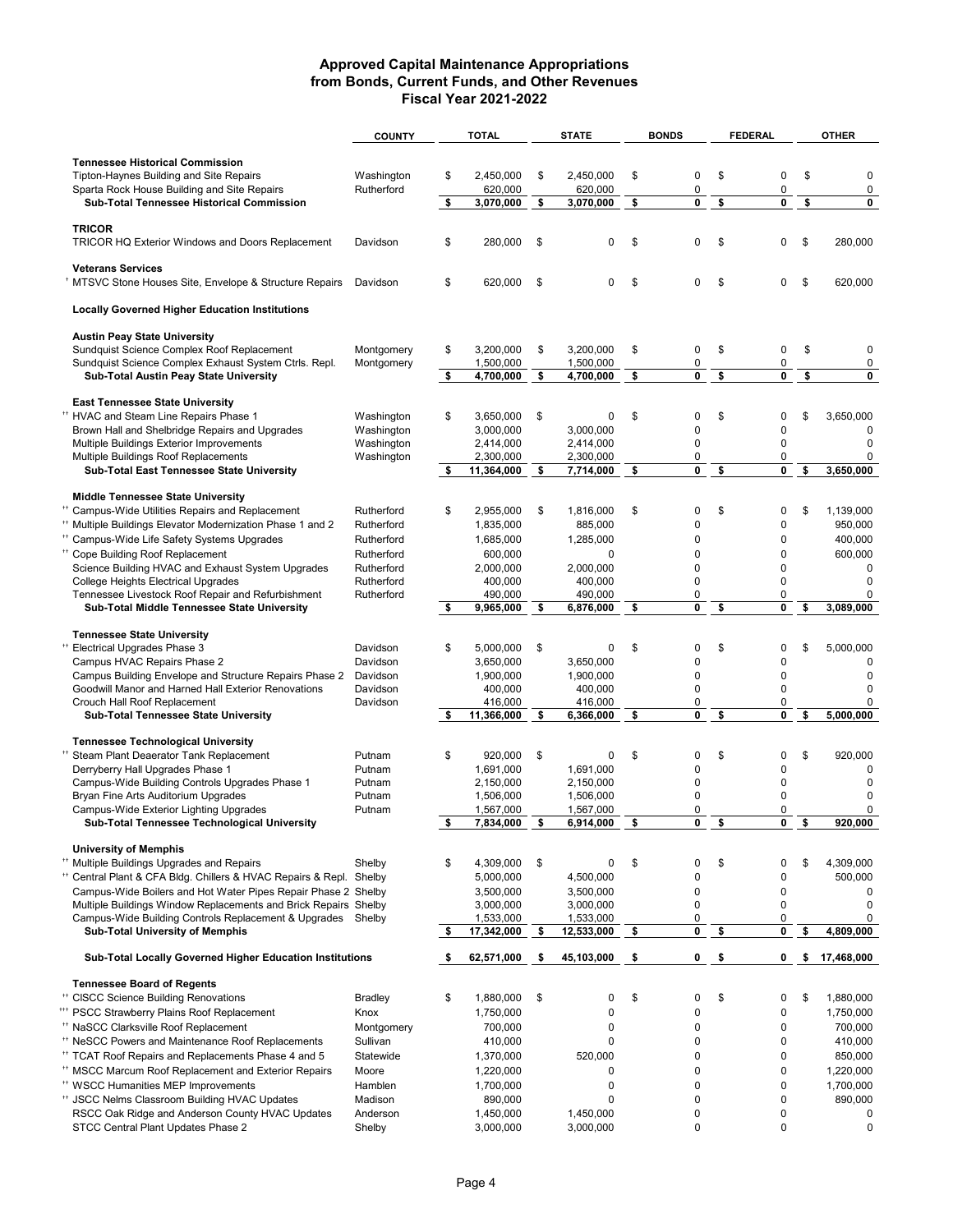|                                                                                                                                     | <b>COUNTY</b>            |    | <b>TOTAL</b>           |      | <b>STATE</b>           | <b>BONDS</b> | <b>FEDERAL</b>    | <b>OTHER</b>         |
|-------------------------------------------------------------------------------------------------------------------------------------|--------------------------|----|------------------------|------|------------------------|--------------|-------------------|----------------------|
|                                                                                                                                     |                          |    |                        |      |                        |              |                   |                      |
| <b>Tennessee Historical Commission</b>                                                                                              |                          |    |                        |      |                        |              |                   |                      |
| Tipton-Haynes Building and Site Repairs                                                                                             | Washington               | \$ | 2,450,000              | \$   | 2,450,000              | \$<br>0      | \$<br>$\pmb{0}$   | \$<br>0              |
| Sparta Rock House Building and Site Repairs<br>Sub-Total Tennessee Historical Commission                                            | Rutherford               | \$ | 620,000<br>3,070,000   | \$   | 620,000<br>3,070,000   | \$<br>0<br>0 | \$<br>0<br>0      | \$<br>0<br>0         |
|                                                                                                                                     |                          |    |                        |      |                        |              |                   |                      |
| <b>TRICOR</b>                                                                                                                       |                          |    |                        |      |                        |              |                   |                      |
| <b>TRICOR HQ Exterior Windows and Doors Replacement</b>                                                                             | Davidson                 | \$ | 280,000                | \$   | 0                      | \$<br>0      | \$<br>0           | \$<br>280,000        |
|                                                                                                                                     |                          |    |                        |      |                        |              |                   |                      |
| <b>Veterans Services</b>                                                                                                            |                          |    |                        |      |                        |              |                   |                      |
| MTSVC Stone Houses Site, Envelope & Structure Repairs                                                                               | Davidson                 | \$ | 620,000                | \$   | 0                      | \$<br>0      | \$<br>0           | \$<br>620,000        |
| <b>Locally Governed Higher Education Institutions</b>                                                                               |                          |    |                        |      |                        |              |                   |                      |
|                                                                                                                                     |                          |    |                        |      |                        |              |                   |                      |
| <b>Austin Peay State University</b>                                                                                                 |                          |    |                        |      |                        |              |                   |                      |
| Sundquist Science Complex Roof Replacement                                                                                          | Montgomery               | \$ | 3,200,000              | \$   | 3,200,000              | \$<br>0      | \$<br>0           | \$<br>0              |
| Sundquist Science Complex Exhaust System Ctrls. Repl.                                                                               | Montgomery               |    | 1,500,000              |      | 1,500,000              | 0            | $\pmb{0}$         | 0                    |
| Sub-Total Austin Peay State University                                                                                              |                          | \$ | 4,700,000              | \$   | 4,700,000              | \$<br>0      | \$<br>$\mathbf 0$ | \$<br>0              |
| <b>East Tennessee State University</b>                                                                                              |                          |    |                        |      |                        |              |                   |                      |
| <sup>**</sup> HVAC and Steam Line Repairs Phase 1                                                                                   | Washington               | \$ | 3,650,000              | \$   | 0                      | \$<br>0      | \$<br>0           | \$<br>3,650,000      |
| Brown Hall and Shelbridge Repairs and Upgrades                                                                                      | Washington               |    | 3,000,000              |      | 3,000,000              | 0            | $\mathbf 0$       | $\mathbf 0$          |
| Multiple Buildings Exterior Improvements                                                                                            | Washington               |    | 2,414,000              |      | 2.414.000              | 0            | 0                 | 0                    |
| Multiple Buildings Roof Replacements                                                                                                | Washington               |    | 2,300,000              |      | 2,300,000              | 0            | 0                 | 0                    |
| Sub-Total East Tennessee State University                                                                                           |                          | \$ | 11,364,000             | \$   | 7,714,000              | \$<br>0      | \$<br>0           | \$<br>3,650,000      |
|                                                                                                                                     |                          |    |                        |      |                        |              |                   |                      |
| <b>Middle Tennessee State University</b>                                                                                            |                          | \$ |                        | \$   |                        | \$<br>0      | \$<br>0           | \$                   |
| <sup>**</sup> Campus-Wide Utilities Repairs and Replacement<br><sup>1</sup> Multiple Buildings Elevator Modernization Phase 1 and 2 | Rutherford<br>Rutherford |    | 2,955,000<br>1,835,000 |      | 1,816,000<br>885,000   | 0            | 0                 | 1,139,000<br>950,000 |
| <sup>**</sup> Campus-Wide Life Safety Systems Upgrades                                                                              | Rutherford               |    | 1,685,000              |      | 1,285,000              | 0            | $\mathbf 0$       | 400,000              |
| <sup>++</sup> Cope Building Roof Replacement                                                                                        | Rutherford               |    | 600,000                |      | 0                      | 0            | $\mathbf 0$       | 600,000              |
| Science Building HVAC and Exhaust System Upgrades                                                                                   | Rutherford               |    | 2,000,000              |      | 2,000,000              | 0            | $\mathbf 0$       | 0                    |
| College Heights Electrical Upgrades                                                                                                 | Rutherford               |    | 400,000                |      | 400,000                | 0            | 0                 | 0                    |
| Tennessee Livestock Roof Repair and Refurbishment                                                                                   | Rutherford               |    | 490,000                |      | 490,000                | 0            | 0                 | 0                    |
| Sub-Total Middle Tennessee State University                                                                                         |                          | \$ | 9,965,000              | - \$ | 6,876,000              | \$<br>0      | \$<br>0           | \$<br>3,089,000      |
|                                                                                                                                     |                          |    |                        |      |                        |              |                   |                      |
| <b>Tennessee State University</b>                                                                                                   |                          |    |                        |      |                        |              |                   |                      |
| <sup>**</sup> Electrical Upgrades Phase 3                                                                                           | Davidson<br>Davidson     | \$ | 5,000,000<br>3,650,000 | \$   | 0<br>3,650,000         | \$<br>0<br>0 | \$<br>0<br>0      | \$<br>5,000,000<br>0 |
| Campus HVAC Repairs Phase 2<br>Campus Building Envelope and Structure Repairs Phase 2                                               | Davidson                 |    | 1,900,000              |      | 1,900,000              | 0            | $\mathbf 0$       | $\mathbf 0$          |
| Goodwill Manor and Harned Hall Exterior Renovations                                                                                 | Davidson                 |    | 400,000                |      | 400,000                | 0            | $\mathbf 0$       | 0                    |
| Crouch Hall Roof Replacement                                                                                                        | Davidson                 |    | 416,000                |      | 416,000                | 0            | 0                 | 0                    |
| <b>Sub-Total Tennessee State University</b>                                                                                         |                          | \$ | 11,366,000             | \$   | 6,366,000              | \$<br>0      | \$<br>0           | \$<br>5,000,000      |
|                                                                                                                                     |                          |    |                        |      |                        |              |                   |                      |
| <b>Tennessee Technological University</b>                                                                                           |                          |    |                        |      |                        |              |                   |                      |
| <sup>11</sup> Steam Plant Deaerator Tank Replacement                                                                                | Putnam                   | \$ | 920.000                | \$   | 0                      | \$<br>0      | \$<br>0           | \$<br>920,000        |
| Derryberry Hall Upgrades Phase 1<br>Campus-Wide Building Controls Upgrades Phase 1                                                  | Putnam<br>Putnam         |    | 1,691,000<br>2,150,000 |      | 1,691,000<br>2.150.000 | 0<br>0       | 0<br>0            | 0<br>$\mathbf 0$     |
| Bryan Fine Arts Auditorium Upgrades                                                                                                 | Putnam                   |    | 1,506,000              |      | 1,506,000              | 0            | 0                 | 0                    |
| Campus-Wide Exterior Lighting Upgrades                                                                                              | Putnam                   |    | 1,567,000              |      | 1,567,000              | 0            | 0                 | 0                    |
| Sub-Total Tennessee Technological University                                                                                        |                          | \$ | 7,834,000              | \$   | 6,914,000              | \$<br>0      | \$<br>0           | \$<br>920,000        |
|                                                                                                                                     |                          |    |                        |      |                        |              |                   |                      |
| <b>University of Memphis</b>                                                                                                        |                          |    |                        |      |                        |              |                   |                      |
| <sup>**</sup> Multiple Buildings Upgrades and Repairs                                                                               | Shelby                   | \$ | 4,309,000              | \$   | 0                      | \$<br>0      | \$<br>0           | \$<br>4,309,000      |
| <sup>11</sup> Central Plant & CFA Bldg. Chillers & HVAC Repairs & Repl. Shelby                                                      |                          |    | 5,000,000              |      | 4,500,000              | 0            | 0                 | 500,000              |
| Campus-Wide Boilers and Hot Water Pipes Repair Phase 2 Shelby<br>Multiple Buildings Window Replacements and Brick Repairs Shelby    |                          |    | 3,500,000<br>3,000,000 |      | 3,500,000<br>3,000,000 | 0<br>0       | 0<br>$\pmb{0}$    | 0<br>$\mathbf 0$     |
| Campus-Wide Building Controls Replacement & Upgrades Shelby                                                                         |                          |    | 1,533,000              |      | 1,533,000              | 0            | 0                 | 0                    |
| <b>Sub-Total University of Memphis</b>                                                                                              |                          | \$ | 17,342,000             | \$   | 12,533,000             | \$<br>0      | \$<br>0           | \$<br>4,809,000      |
|                                                                                                                                     |                          |    |                        |      |                        |              |                   |                      |
| <b>Sub-Total Locally Governed Higher Education Institutions</b>                                                                     |                          | s. | 62,571,000             | \$   | 45,103,000             | \$<br>0      | \$<br>0           | \$<br>17,468,000     |
| <b>Tennessee Board of Regents</b>                                                                                                   |                          |    |                        |      |                        |              |                   |                      |
| <sup>++</sup> CISCC Science Building Renovations                                                                                    | <b>Bradley</b>           | \$ | 1,880,000              | \$   | 0                      | \$<br>0      | \$<br>0           | \$<br>1,880,000      |
| <sup>++</sup> PSCC Strawberry Plains Roof Replacement                                                                               | Knox                     |    | 1,750,000              |      | 0                      | 0            | 0                 | 1,750,000            |
| <sup>**</sup> NaSCC Clarksville Roof Replacement                                                                                    | Montgomery               |    | 700,000                |      | 0                      | 0            | 0                 | 700,000              |
| <sup>**</sup> NeSCC Powers and Maintenance Roof Replacements                                                                        | Sullivan                 |    | 410,000                |      | 0                      | 0            | $\pmb{0}$         | 410,000              |
| <sup>**</sup> TCAT Roof Repairs and Replacements Phase 4 and 5                                                                      | Statewide                |    | 1,370,000              |      | 520,000                | 0            | $\pmb{0}$         | 850,000              |
| <sup>**</sup> MSCC Marcum Roof Replacement and Exterior Repairs                                                                     | Moore                    |    | 1,220,000              |      | 0                      | 0            | $\pmb{0}$         | 1,220,000            |
| <sup>**</sup> WSCC Humanities MEP Improvements                                                                                      | Hamblen                  |    | 1,700,000              |      | 0                      | 0            | 0                 | 1,700,000            |
| <sup>**</sup> JSCC Nelms Classroom Building HVAC Updates                                                                            | Madison                  |    | 890,000                |      | $\mathbf 0$            | 0            | $\pmb{0}$         | 890,000              |
| RSCC Oak Ridge and Anderson County HVAC Updates                                                                                     | Anderson                 |    | 1,450,000              |      | 1,450,000              | 0            | $\pmb{0}$         | 0                    |
| STCC Central Plant Updates Phase 2                                                                                                  | Shelby                   |    | 3,000,000              |      | 3,000,000              | 0            | $\pmb{0}$         | 0                    |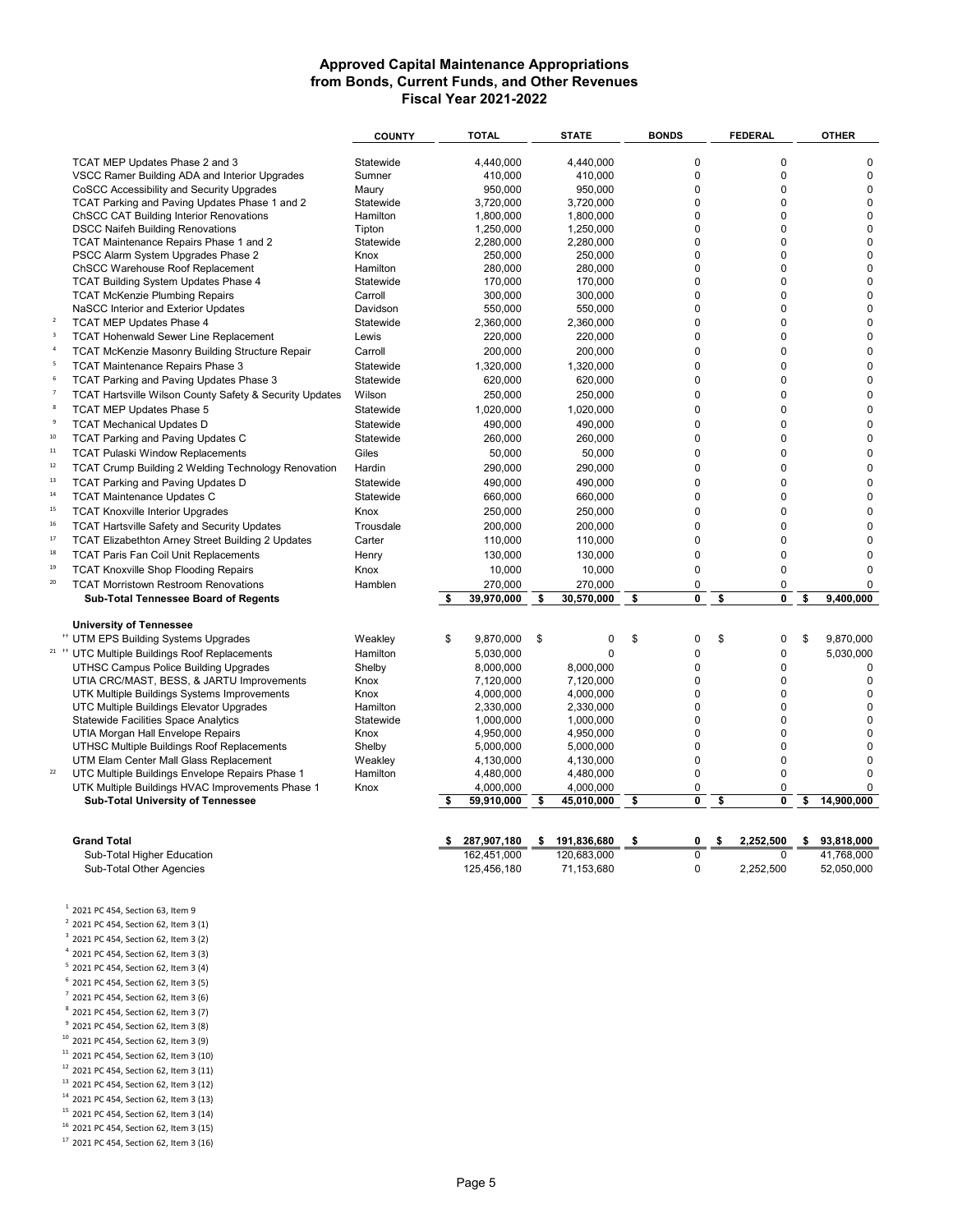|                         |                                                                      | <b>COUNTY</b> |      | <b>TOTAL</b> |    | <b>STATE</b> | <b>BONDS</b> |                | <b>FEDERAL</b>    | <b>OTHER</b>     |
|-------------------------|----------------------------------------------------------------------|---------------|------|--------------|----|--------------|--------------|----------------|-------------------|------------------|
|                         | TCAT MEP Updates Phase 2 and 3                                       | Statewide     |      | 4,440,000    |    | 4,440,000    |              | 0              | $\pmb{0}$         | $\pmb{0}$        |
|                         | VSCC Ramer Building ADA and Interior Upgrades                        | Sumner        |      | 410,000      |    | 410,000      |              | $\mathbf 0$    | $\Omega$          | $\mathbf 0$      |
|                         | CoSCC Accessibility and Security Upgrades                            | Maury         |      | 950,000      |    | 950,000      |              | $\mathbf 0$    | $\Omega$          | $\mathbf 0$      |
|                         | TCAT Parking and Paving Updates Phase 1 and 2                        | Statewide     |      | 3,720,000    |    | 3.720.000    |              | $\Omega$       | $\Omega$          | $\mathbf 0$      |
|                         | <b>ChSCC CAT Building Interior Renovations</b>                       | Hamilton      |      | 1,800,000    |    | 1,800,000    |              | $\Omega$       | $\Omega$          | $\mathbf 0$      |
|                         | <b>DSCC Naifeh Building Renovations</b>                              | Tipton        |      | 1,250,000    |    | 1,250,000    |              | $\mathbf 0$    | $\mathbf 0$       | $\mathbf 0$      |
|                         | TCAT Maintenance Repairs Phase 1 and 2                               | Statewide     |      | 2.280.000    |    | 2.280.000    |              | $\Omega$       | $\Omega$          | $\mathbf 0$      |
|                         | PSCC Alarm System Upgrades Phase 2                                   | Knox          |      | 250,000      |    | 250,000      |              | $\Omega$       | $\Omega$          | $\Omega$         |
|                         | ChSCC Warehouse Roof Replacement                                     | Hamilton      |      | 280,000      |    | 280,000      |              | $\Omega$       | $\Omega$          | $\mathbf 0$      |
|                         | TCAT Building System Updates Phase 4                                 | Statewide     |      | 170,000      |    | 170,000      |              | 0              | $\mathbf 0$       | $\mathbf 0$      |
|                         | <b>TCAT McKenzie Plumbing Repairs</b>                                | Carroll       |      | 300,000      |    | 300,000      |              | $\mathbf 0$    | $\mathbf 0$       | $\mathbf 0$      |
|                         | NaSCC Interior and Exterior Updates                                  | Davidson      |      | 550,000      |    | 550,000      |              | $\Omega$       | $\Omega$          | $\Omega$         |
| $\overline{2}$          | <b>TCAT MEP Updates Phase 4</b>                                      | Statewide     |      | 2,360,000    |    | 2,360,000    |              | $\Omega$       | $\Omega$          | $\Omega$         |
| $\overline{\mathbf{3}}$ | <b>TCAT Hohenwald Sewer Line Replacement</b>                         | Lewis         |      | 220,000      |    | 220,000      |              | $\Omega$       | $\Omega$          | $\Omega$         |
| $\sqrt{4}$              | <b>TCAT McKenzie Masonry Building Structure Repair</b>               | Carroll       |      | 200,000      |    | 200,000      |              | $\Omega$       | $\Omega$          | $\Omega$         |
| 5                       | <b>TCAT Maintenance Repairs Phase 3</b>                              | Statewide     |      | 1,320,000    |    | 1,320,000    |              | $\mathbf 0$    | $\mathbf 0$       | $\mathbf 0$      |
|                         | TCAT Parking and Paving Updates Phase 3                              | Statewide     |      | 620,000      |    | 620,000      |              | $\mathbf 0$    | $\mathbf 0$       | 0                |
|                         | TCAT Hartsville Wilson County Safety & Security Updates              | Wilson        |      | 250,000      |    | 250,000      |              | $\Omega$       | $\Omega$          | $\Omega$         |
|                         | TCAT MEP Updates Phase 5                                             | Statewide     |      | 1,020,000    |    | 1,020,000    |              | $\Omega$       | $\Omega$          | $\overline{0}$   |
|                         | <b>TCAT Mechanical Updates D</b>                                     | Statewide     |      | 490,000      |    | 490,000      |              | $\mathbf 0$    | $\mathbf 0$       | $\Omega$         |
| 10                      | <b>TCAT Parking and Paving Updates C</b>                             | Statewide     |      | 260,000      |    | 260,000      |              | $\Omega$       | $\Omega$          | $\Omega$         |
| 11                      | <b>TCAT Pulaski Window Replacements</b>                              | Giles         |      | 50,000       |    | 50,000       |              | $\Omega$       | $\Omega$          | $\Omega$         |
| 12                      | <b>TCAT Crump Building 2 Welding Technology Renovation</b>           | Hardin        |      | 290,000      |    | 290,000      |              | $\mathbf 0$    | $\mathbf 0$       | $\overline{0}$   |
| 13                      |                                                                      | Statewide     |      | 490,000      |    | 490,000      |              | $\mathbf 0$    | $\mathbf 0$       | 0                |
| 14                      | <b>TCAT Parking and Paving Updates D</b>                             |               |      |              |    |              |              | $\mathbf 0$    | $\mathbf 0$       | $\Omega$         |
| 15                      | <b>TCAT Maintenance Updates C</b>                                    | Statewide     |      | 660,000      |    | 660,000      |              |                |                   |                  |
| 16                      | <b>TCAT Knoxville Interior Upgrades</b>                              | Knox          |      | 250,000      |    | 250,000      |              | $\Omega$       | $\mathbf 0$       | 0                |
|                         | <b>TCAT Hartsville Safety and Security Updates</b>                   | Trousdale     |      | 200,000      |    | 200,000      |              | $\mathbf 0$    | $\mathbf 0$       | $\Omega$         |
| 17                      | <b>TCAT Elizabethton Arney Street Building 2 Updates</b>             | Carter        |      | 110,000      |    | 110,000      |              | $\mathbf 0$    | $\mathbf 0$       | $\Omega$         |
| 18                      | <b>TCAT Paris Fan Coil Unit Replacements</b>                         | Henry         |      | 130,000      |    | 130,000      |              | $\mathbf 0$    | $\mathbf 0$       | $\Omega$         |
| 19                      | <b>TCAT Knoxville Shop Flooding Repairs</b>                          | Knox          |      | 10,000       |    | 10,000       |              | $\mathbf 0$    | $\mathbf 0$       | $\overline{0}$   |
| 20                      | <b>TCAT Morristown Restroom Renovations</b>                          | Hamblen       |      | 270,000      |    | 270,000      |              | 0              | $\pmb{0}$         | 0                |
|                         | <b>Sub-Total Tennessee Board of Regents</b>                          |               | \$   | 39,970,000   | \$ | 30,570,000   | \$           | 0              | \$<br>$\mathbf 0$ | \$<br>9.400.000  |
|                         | <b>University of Tennessee</b>                                       |               |      |              |    |              |              |                |                   |                  |
|                         | <sup>**</sup> UTM EPS Building Systems Upgrades                      | Weakley       | \$   | 9,870,000    | \$ | 0            | \$           | $\mathbf 0$    | \$<br>0           | \$<br>9,870,000  |
|                         | <sup>21</sup> <sup>++</sup> UTC Multiple Buildings Roof Replacements | Hamilton      |      | 5,030,000    |    | $\Omega$     |              | $\mathbf 0$    | $\mathbf 0$       | 5,030,000        |
|                         | UTHSC Campus Police Building Upgrades                                | Shelby        |      | 8,000,000    |    | 8,000,000    |              | $\mathbf 0$    | $\mathbf 0$       | $\mathbf 0$      |
|                         | UTIA CRC/MAST, BESS, & JARTU Improvements                            | Knox          |      | 7,120,000    |    | 7,120,000    |              | $\mathbf 0$    | $\mathbf 0$       | $\mathbf 0$      |
|                         | UTK Multiple Buildings Systems Improvements                          | Knox          |      | 4,000,000    |    | 4,000,000    |              | $\mathbf 0$    | $\mathbf 0$       | $\mathbf 0$      |
|                         | UTC Multiple Buildings Elevator Upgrades                             | Hamilton      |      | 2,330,000    |    | 2.330.000    |              | $\Omega$       | $\Omega$          | $\Omega$         |
|                         | <b>Statewide Facilities Space Analytics</b>                          | Statewide     |      | 1,000,000    |    | 1,000,000    |              | 0              | $\mathbf 0$       | $\mathbf 0$      |
|                         | UTIA Morgan Hall Envelope Repairs                                    | Knox          |      | 4,950,000    |    | 4,950,000    |              | $\mathbf 0$    | $\Omega$          | 0                |
|                         | UTHSC Multiple Buildings Roof Replacements                           | Shelby        |      | 5,000,000    |    | 5,000,000    |              | $\mathbf 0$    | $\mathbf 0$       | $\mathbf 0$      |
|                         | UTM Elam Center Mall Glass Replacement                               | Weakley       |      | 4,130,000    |    | 4,130,000    |              | $\mathbf 0$    | $\mathbf 0$       | $\mathbf 0$      |
| 22                      | UTC Multiple Buildings Envelope Repairs Phase 1                      | Hamilton      |      | 4,480,000    |    | 4,480,000    |              | $\mathbf 0$    | $\Omega$          | 0                |
|                         | UTK Multiple Buildings HVAC Improvements Phase 1                     | Knox          |      | 4,000,000    |    | 4,000,000    |              | $\mathbf 0$    | $\mathbf 0$       | 0                |
|                         | Sub-Total University of Tennessee                                    |               | \$   | 59,910,000   | \$ | 45,010,000   | \$           | 0              | \$<br>$\mathbf 0$ | \$<br>14,900,000 |
|                         |                                                                      |               |      |              |    |              |              |                |                   |                  |
|                         | <b>Grand Total</b>                                                   |               | - \$ | 287,907,180  | s. | 191,836,680  | \$           | 0              | \$<br>2,252,500   | \$<br>93,818,000 |
|                         | Sub-Total Higher Education                                           |               |      | 162.451.000  |    | 120.683.000  |              | $\overline{0}$ | $\Omega$          | 41,768,000       |
|                         | Sub-Total Other Agencies                                             |               |      | 125,456,180  |    | 71,153,680   |              | $\Omega$       | 2,252,500         | 52,050,000       |
|                         |                                                                      |               |      |              |    |              |              |                |                   |                  |

 $1$  2021 PC 454, Section 63, Item 9

 $2$  2021 PC 454, Section 62, Item 3 (1)

<sup>3</sup> 2021 PC 454, Section 62, Item 3 (2)

<sup>4</sup> 2021 PC 454, Section 62, Item 3 (3)

<sup>5</sup> 2021 PC 454, Section 62, Item 3 (4) <sup>6</sup> 2021 PC 454, Section 62, Item 3 (5)

<sup>7</sup> 2021 PC 454, Section 62, Item 3 (6)

<sup>8</sup> 2021 PC 454, Section 62, Item 3 (7)

<sup>9</sup> 2021 PC 454, Section 62, Item 3 (8)

<sup>10</sup> 2021 PC 454, Section 62, Item 3 (9)

<sup>11</sup> 2021 PC 454, Section 62, Item 3 (10)

<sup>12</sup> 2021 PC 454, Section 62, Item 3 (11)

<sup>13</sup> 2021 PC 454, Section 62, Item 3 (12)

<sup>14</sup> 2021 PC 454, Section 62, Item 3 (13)

<sup>15</sup> 2021 PC 454, Section 62, Item 3 (14)

<sup>16</sup> 2021 PC 454, Section 62, Item 3 (15)

<sup>17</sup> 2021 PC 454, Section 62, Item 3 (16)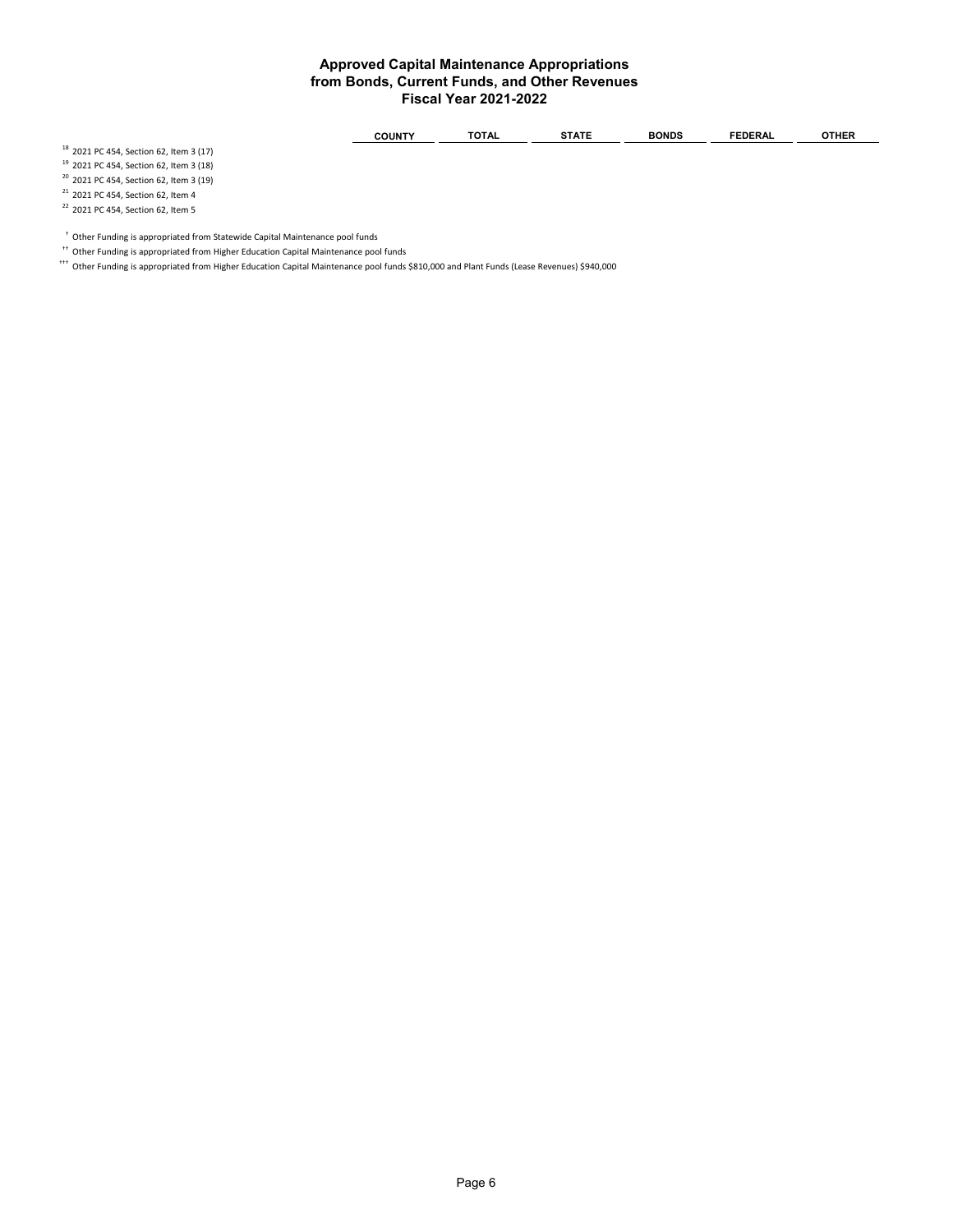| -<br>. . | . 11 IN T | ------<br>$\mathbf{v}$ | ----- | <b>DNDS</b><br>c | ™RAL. | шег |
|----------|-----------|------------------------|-------|------------------|-------|-----|
|----------|-----------|------------------------|-------|------------------|-------|-----|

<sup>18</sup> 2021 PC 454, Section 62, Item 3 (17) <sup>19</sup> 2021 PC 454, Section 62, Item 3 (18)

 $20$  2021 PC 454, Section 62, Item 3 (19)

 $21$  2021 PC 454, Section 62, Item 4

<sup>22</sup> 2021 PC 454, Section 62, Item 5

 $^{\dagger}$  Other Funding is appropriated from Statewide Capital Maintenance pool funds

†† Other Funding is appropriated from Higher Education Capital Maintenance pool funds

††† Other Funding is appropriated from Higher Education Capital Maintenance pool funds \$810,000 and Plant Funds (Lease Revenues) \$940,000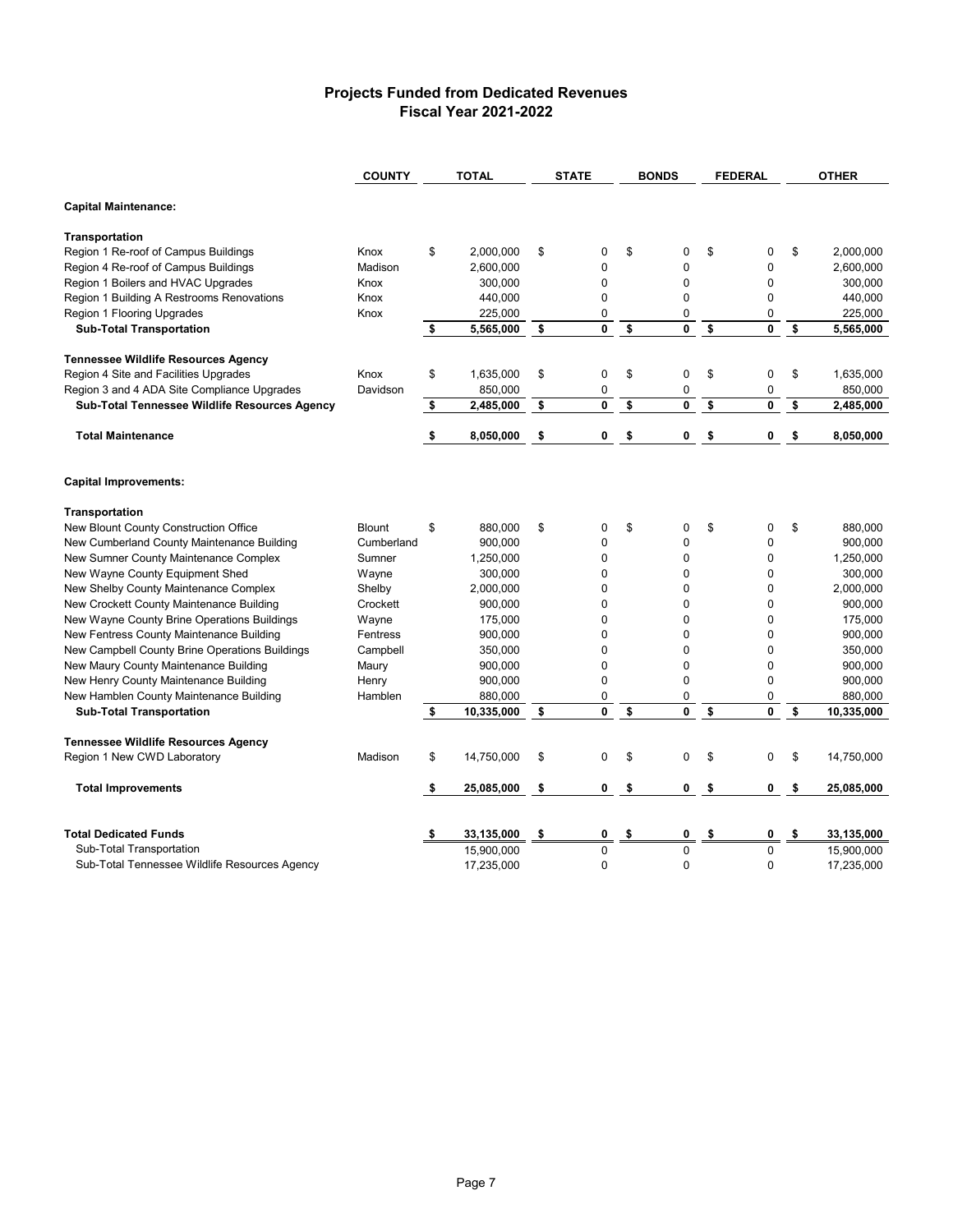#### **Projects Funded from Dedicated Revenues Fiscal Year 2021-2022**

| <b>COUNTY</b>                                  |               | <b>TOTAL</b>     | <b>STATE</b>   | <b>BONDS</b>       |    | <b>FEDERAL</b> |    | <b>OTHER</b> |  |
|------------------------------------------------|---------------|------------------|----------------|--------------------|----|----------------|----|--------------|--|
| <b>Capital Maintenance:</b>                    |               |                  |                |                    |    |                |    |              |  |
| Transportation                                 |               |                  |                |                    |    |                |    |              |  |
| Region 1 Re-roof of Campus Buildings           | Knox          | \$<br>2,000,000  | \$<br>0        | \$<br>0            | \$ | 0              | \$ | 2,000,000    |  |
| Region 4 Re-roof of Campus Buildings           | Madison       | 2,600,000        | 0              | $\pmb{0}$          |    | 0              |    | 2,600,000    |  |
| Region 1 Boilers and HVAC Upgrades             | Knox          | 300,000          | 0              | $\mathbf 0$        |    | 0              |    | 300,000      |  |
| Region 1 Building A Restrooms Renovations      | Knox          | 440,000          | $\overline{0}$ | $\mathbf{0}$       |    | $\Omega$       |    | 440,000      |  |
| Region 1 Flooring Upgrades                     | Knox          | 225,000          | 0              | $\pmb{0}$          |    | 0              |    | 225,000      |  |
| <b>Sub-Total Transportation</b>                |               | \$<br>5,565,000  | \$<br>0        | \$<br>0            | \$ | 0              | \$ | 5,565,000    |  |
| <b>Tennessee Wildlife Resources Agency</b>     |               |                  |                |                    |    |                |    |              |  |
| Region 4 Site and Facilities Upgrades          | Knox          | \$<br>1,635,000  | \$<br>0        | \$<br>$\mathbf 0$  | \$ | 0              | \$ | 1.635.000    |  |
| Region 3 and 4 ADA Site Compliance Upgrades    | Davidson      | 850,000          | 0              | $\pmb{0}$          |    | 0              |    | 850,000      |  |
| Sub-Total Tennessee Wildlife Resources Agency  |               | \$<br>2,485,000  | \$<br>0        | \$<br>$\mathbf 0$  | \$ | 0              | \$ | 2,485,000    |  |
| <b>Total Maintenance</b>                       |               | \$<br>8,050,000  | \$<br>0        | \$<br>0            | \$ | 0              | \$ | 8,050,000    |  |
| <b>Capital Improvements:</b>                   |               |                  |                |                    |    |                |    |              |  |
| Transportation                                 |               |                  |                |                    |    |                |    |              |  |
| New Blount County Construction Office          | <b>Blount</b> | \$<br>880,000    | \$<br>0        | \$<br>0            | \$ | 0              | \$ | 880,000      |  |
| New Cumberland County Maintenance Building     | Cumberland    | 900,000          | $\mathbf 0$    | $\mathbf 0$        |    | 0              |    | 900,000      |  |
| New Sumner County Maintenance Complex          | Sumner        | 1,250,000        | 0              | 0                  |    | 0              |    | 1,250,000    |  |
| New Wayne County Equipment Shed                | Wayne         | 300,000          | 0              | 0                  |    | 0              |    | 300,000      |  |
| New Shelby County Maintenance Complex          | Shelby        | 2,000,000        | 0              | 0                  |    | 0              |    | 2,000,000    |  |
| New Crockett County Maintenance Building       | Crockett      | 900,000          | 0              | 0                  |    | 0              |    | 900,000      |  |
| New Wayne County Brine Operations Buildings    | Wayne         | 175,000          | 0              | $\mathbf 0$        |    | 0              |    | 175,000      |  |
| New Fentress County Maintenance Building       | Fentress      | 900,000          | 0              | $\mathbf 0$        |    | $\Omega$       |    | 900,000      |  |
| New Campbell County Brine Operations Buildings | Campbell      | 350,000          | 0              | $\mathbf 0$        |    | 0              |    | 350,000      |  |
| New Maury County Maintenance Building          | Maury         | 900,000          | 0              | $\pmb{0}$          |    | 0              |    | 900,000      |  |
| New Henry County Maintenance Building          | Henry         | 900,000          | 0              | $\pmb{0}$          |    | 0              |    | 900,000      |  |
| New Hamblen County Maintenance Building        | Hamblen       | 880,000          | 0              | $\pmb{0}$          |    | 0              |    | 880,000      |  |
| <b>Sub-Total Transportation</b>                |               | \$<br>10.335.000 | \$<br>0        | \$<br>$\mathbf{0}$ | \$ | 0              | \$ | 10.335.000   |  |
| <b>Tennessee Wildlife Resources Agency</b>     |               |                  |                |                    |    |                |    |              |  |
| Region 1 New CWD Laboratory                    | Madison       | \$<br>14,750,000 | \$<br>0        | \$<br>0            | \$ | 0              | \$ | 14,750,000   |  |
| <b>Total Improvements</b>                      |               | \$<br>25,085,000 | \$<br>0        | \$<br>0            | \$ | 0              | \$ | 25,085,000   |  |
| <b>Total Dedicated Funds</b>                   |               | 33,135,000       | \$<br>0        | \$<br>0            | \$ | 0              | \$ | 33,135,000   |  |
| Sub-Total Transportation                       |               | 15,900,000       | $\overline{0}$ | $\mathbf 0$        |    | 0              |    | 15,900,000   |  |
| Sub-Total Tennessee Wildlife Resources Agency  |               | 17,235,000       | 0              | $\mathbf 0$        |    | 0              |    | 17,235,000   |  |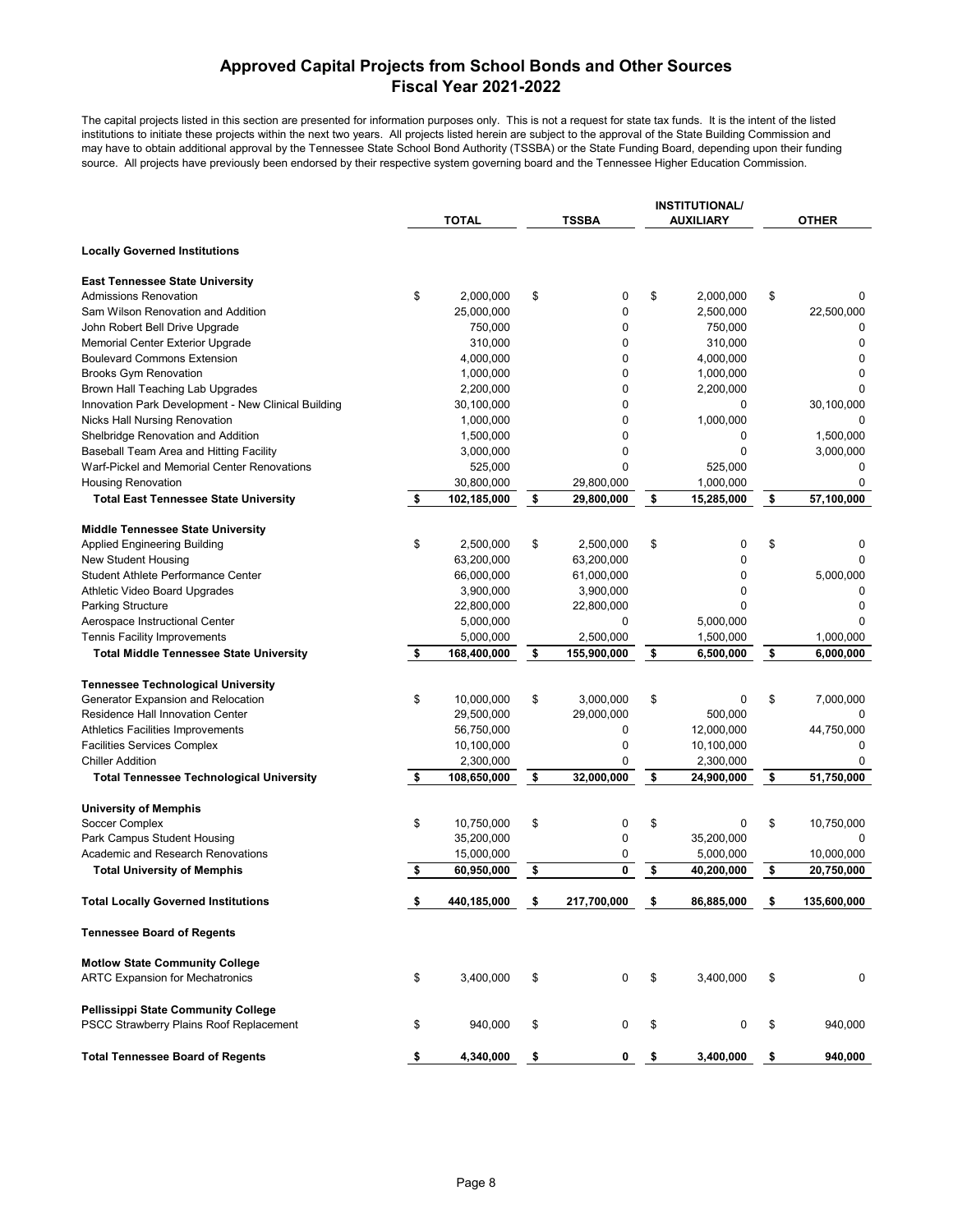### **Approved Capital Projects from School Bonds and Other Sources Fiscal Year 2021-2022**

The capital projects listed in this section are presented for information purposes only. This is not a request for state tax funds. It is the intent of the listed institutions to initiate these projects within the next two years. All projects listed herein are subject to the approval of the State Building Commission and may have to obtain additional approval by the Tennessee State School Bond Authority (TSSBA) or the State Funding Board, depending upon their funding source. All projects have previously been endorsed by their respective system governing board and the Tennessee Higher Education Commission.

|                                                     |                   |                   | <b>INSTITUTIONAL/</b> |                   |
|-----------------------------------------------------|-------------------|-------------------|-----------------------|-------------------|
|                                                     | <b>TOTAL</b>      | <b>TSSBA</b>      | <b>AUXILIARY</b>      | <b>OTHER</b>      |
| <b>Locally Governed Institutions</b>                |                   |                   |                       |                   |
| <b>East Tennessee State University</b>              |                   |                   |                       |                   |
| <b>Admissions Renovation</b>                        | \$<br>2,000,000   | \$<br>0           | \$<br>2,000,000       | \$<br>0           |
| Sam Wilson Renovation and Addition                  | 25,000,000        | 0                 | 2,500,000             | 22,500,000        |
| John Robert Bell Drive Upgrade                      | 750,000           | 0                 | 750,000               | 0                 |
| Memorial Center Exterior Upgrade                    | 310,000           | 0                 | 310,000               | 0                 |
| <b>Boulevard Commons Extension</b>                  | 4,000,000         | 0                 | 4,000,000             | 0                 |
| <b>Brooks Gym Renovation</b>                        | 1,000,000         | 0                 | 1,000,000             | 0                 |
| Brown Hall Teaching Lab Upgrades                    | 2,200,000         | 0                 | 2,200,000             | $\Omega$          |
| Innovation Park Development - New Clinical Building | 30,100,000        | 0                 | 0                     | 30,100,000        |
| <b>Nicks Hall Nursing Renovation</b>                | 1,000,000         | 0                 | 1,000,000             | 0                 |
| Shelbridge Renovation and Addition                  | 1,500,000         | 0                 | 0                     | 1,500,000         |
| Baseball Team Area and Hitting Facility             | 3,000,000         | $\mathbf 0$       | 0                     | 3,000,000         |
| Warf-Pickel and Memorial Center Renovations         | 525,000           | 0                 | 525,000               | 0                 |
| <b>Housing Renovation</b>                           | 30,800,000        | 29,800,000        | 1,000,000             | 0                 |
| <b>Total East Tennessee State University</b>        | \$<br>102,185,000 | \$<br>29,800,000  | \$<br>15,285,000      | \$<br>57,100,000  |
|                                                     |                   |                   |                       |                   |
| <b>Middle Tennessee State University</b>            |                   |                   |                       |                   |
| <b>Applied Engineering Building</b>                 | \$<br>2,500,000   | \$<br>2,500,000   | \$<br>0               | \$<br>0           |
| <b>New Student Housing</b>                          | 63,200,000        | 63,200,000        | 0                     | $\Omega$          |
| Student Athlete Performance Center                  | 66,000,000        | 61,000,000        | 0                     | 5,000,000         |
| Athletic Video Board Upgrades                       | 3,900,000         | 3,900,000         | 0                     | 0                 |
| <b>Parking Structure</b>                            | 22,800,000        | 22,800,000        | 0                     | 0                 |
| Aerospace Instructional Center                      | 5,000,000         | 0                 | 5,000,000             | 0                 |
| Tennis Facility Improvements                        | 5,000,000         | 2,500,000         | 1,500,000             | 1,000,000         |
| <b>Total Middle Tennessee State University</b>      | \$<br>168,400,000 | \$<br>155,900,000 | \$<br>6,500,000       | \$<br>6,000,000   |
| <b>Tennessee Technological University</b>           |                   |                   |                       |                   |
| Generator Expansion and Relocation                  | \$<br>10,000,000  | \$<br>3,000,000   | \$<br>0               | \$<br>7,000,000   |
| Residence Hall Innovation Center                    | 29,500,000        | 29,000,000        | 500,000               | 0                 |
| <b>Athletics Facilities Improvements</b>            | 56,750,000        | 0                 | 12,000,000            | 44,750,000        |
| <b>Facilities Services Complex</b>                  | 10,100,000        | 0                 | 10,100,000            | 0                 |
| <b>Chiller Addition</b>                             | 2,300,000         | 0                 | 2,300,000             | 0                 |
| <b>Total Tennessee Technological University</b>     | \$<br>108,650,000 | \$<br>32,000,000  | \$<br>24,900,000      | \$<br>51,750,000  |
|                                                     |                   |                   |                       |                   |
| <b>University of Memphis</b>                        |                   |                   |                       |                   |
| Soccer Complex                                      | \$<br>10,750,000  | \$<br>0           | \$<br>0               | \$<br>10,750,000  |
| Park Campus Student Housing                         | 35,200,000        | 0                 | 35,200,000            |                   |
| Academic and Research Renovations                   | 15,000,000        | 0                 | 5,000,000             | 10,000,000        |
| <b>Total University of Memphis</b>                  | \$<br>60,950,000  | \$<br>0           | \$<br>40,200,000      | \$<br>20,750,000  |
| <b>Total Locally Governed Institutions</b>          | \$<br>440,185,000 | \$<br>217,700,000 | \$<br>86,885,000      | \$<br>135,600,000 |
| <b>Tennessee Board of Regents</b>                   |                   |                   |                       |                   |
| <b>Motlow State Community College</b>               |                   |                   |                       |                   |
| <b>ARTC Expansion for Mechatronics</b>              | \$<br>3,400,000   | \$<br>0           | \$<br>3,400,000       | \$<br>0           |
| <b>Pellissippi State Community College</b>          |                   |                   |                       |                   |
| PSCC Strawberry Plains Roof Replacement             | \$<br>940,000     | \$<br>0           | \$<br>0               | \$<br>940,000     |
| <b>Total Tennessee Board of Regents</b>             | \$<br>4,340,000   | \$<br>0           | \$<br>3,400,000       | \$<br>940,000     |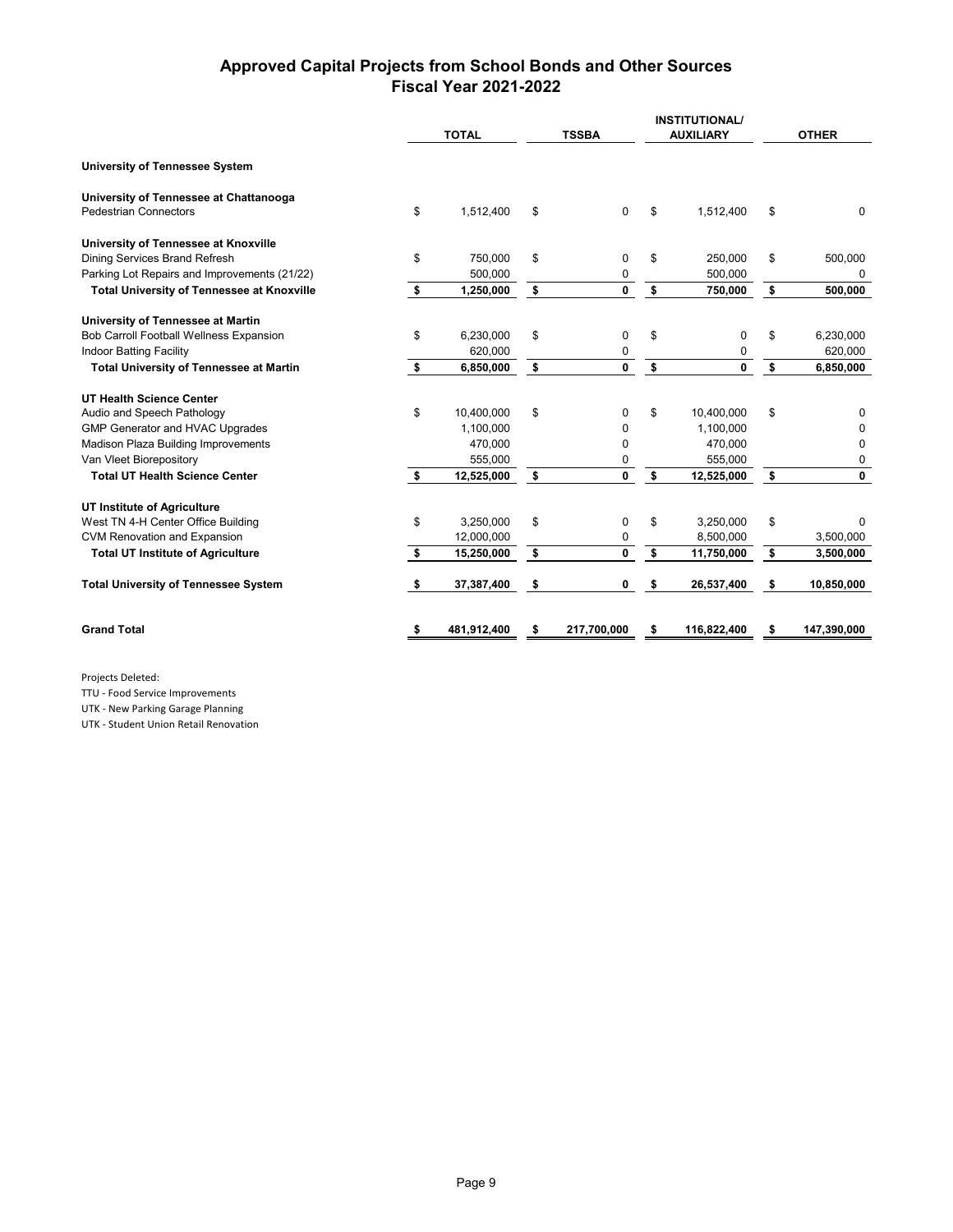## **Approved Capital Projects from School Bonds and Other Sources Fiscal Year 2021-2022**

|                                                   |     | <b>TOTAL</b> | <b>TSSBA</b>       | <b>INSTITUTIONAL/</b><br><b>AUXILIARY</b> | <b>OTHER</b>     |
|---------------------------------------------------|-----|--------------|--------------------|-------------------------------------------|------------------|
| <b>University of Tennessee System</b>             |     |              |                    |                                           |                  |
| University of Tennessee at Chattanooga            |     |              |                    |                                           |                  |
| <b>Pedestrian Connectors</b>                      | \$  | 1,512,400    | \$<br>$\mathbf 0$  | \$<br>1,512,400                           | \$<br>$\Omega$   |
| University of Tennessee at Knoxville              |     |              |                    |                                           |                  |
| Dining Services Brand Refresh                     | \$  | 750,000      | \$<br>0            | \$<br>250,000                             | \$<br>500,000    |
| Parking Lot Repairs and Improvements (21/22)      |     | 500,000      | 0                  | 500,000                                   | $\Omega$         |
| <b>Total University of Tennessee at Knoxville</b> | \$  | 1,250,000    | \$<br>0            | \$<br>750,000                             | \$<br>500,000    |
| University of Tennessee at Martin                 |     |              |                    |                                           |                  |
| Bob Carroll Football Wellness Expansion           | \$  | 6,230,000    | \$<br>0            | \$<br>0                                   | \$<br>6,230,000  |
| <b>Indoor Batting Facility</b>                    |     | 620,000      | 0                  | 0                                         | 620,000          |
| <b>Total University of Tennessee at Martin</b>    | \$  | 6,850,000    | \$<br>$\mathbf 0$  | \$<br>0                                   | \$<br>6,850,000  |
| <b>UT Health Science Center</b>                   |     |              |                    |                                           |                  |
| Audio and Speech Pathology                        | \$  | 10,400,000   | \$<br>0            | \$<br>10,400,000                          | \$<br>0          |
| GMP Generator and HVAC Upgrades                   |     | 1,100,000    | 0                  | 1.100.000                                 | 0                |
| Madison Plaza Building Improvements               |     | 470,000      | 0                  | 470,000                                   | 0                |
| Van Vleet Biorepository                           |     | 555,000      | 0                  | 555,000                                   | 0                |
| <b>Total UT Health Science Center</b>             | \$  | 12,525,000   | \$<br>$\mathbf{0}$ | \$<br>12,525,000                          | \$<br>0          |
| UT Institute of Agriculture                       |     |              |                    |                                           |                  |
| West TN 4-H Center Office Building                | \$  | 3,250,000    | \$<br>0            | \$<br>3,250,000                           | \$<br>0          |
| <b>CVM Renovation and Expansion</b>               |     | 12,000,000   | 0                  | 8,500,000                                 | 3,500,000        |
| <b>Total UT Institute of Agriculture</b>          | -\$ | 15,250,000   | \$<br>$\mathbf{0}$ | \$<br>11,750,000                          | \$<br>3,500,000  |
| <b>Total University of Tennessee System</b>       | S   | 37,387,400   | \$<br>0            | \$<br>26,537,400                          | \$<br>10,850,000 |
| <b>Grand Total</b>                                | \$  | 481,912,400  | 217,700,000        | \$<br>116,822,400                         | 147,390,000      |

Projects Deleted:

TTU - Food Service Improvements

UTK - New Parking Garage Planning

UTK - Student Union Retail Renovation